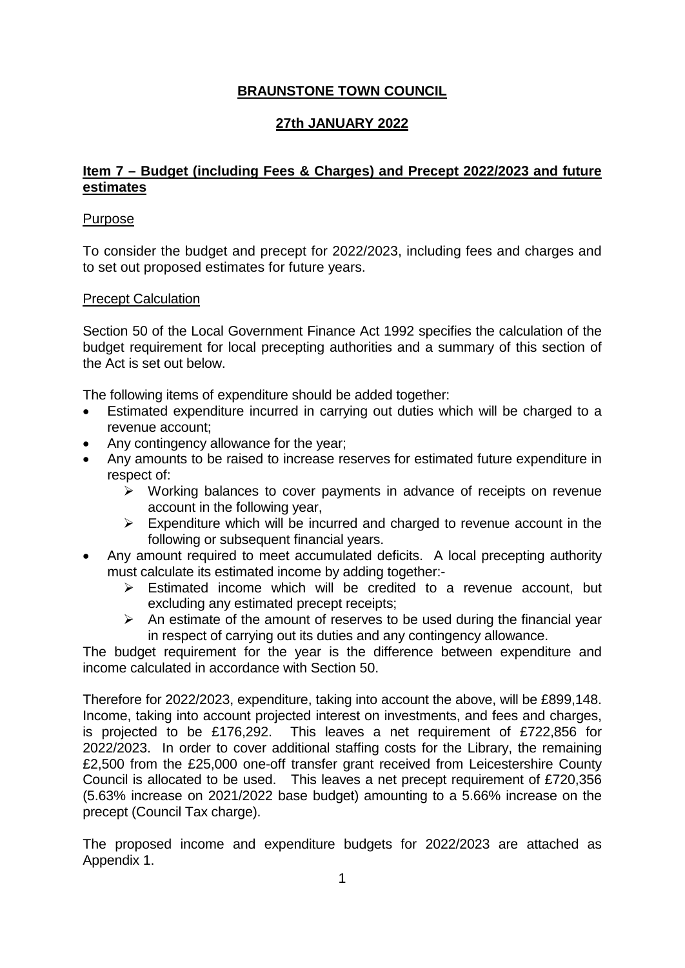# **BRAUNSTONE TOWN COUNCIL**

# **27th JANUARY 2022**

# **Item 7 – Budget (including Fees & Charges) and Precept 2022/2023 and future estimates**

# Purpose

To consider the budget and precept for 2022/2023, including fees and charges and to set out proposed estimates for future years.

# Precept Calculation

Section 50 of the Local Government Finance Act 1992 specifies the calculation of the budget requirement for local precepting authorities and a summary of this section of the Act is set out below.

The following items of expenditure should be added together:

- Estimated expenditure incurred in carrying out duties which will be charged to a revenue account;
- Any contingency allowance for the year;
- Any amounts to be raised to increase reserves for estimated future expenditure in respect of:
	- $\triangleright$  Working balances to cover payments in advance of receipts on revenue account in the following year,
	- $\triangleright$  Expenditure which will be incurred and charged to revenue account in the following or subsequent financial years.
- Any amount required to meet accumulated deficits. A local precepting authority must calculate its estimated income by adding together:-
	- $\triangleright$  Estimated income which will be credited to a revenue account, but excluding any estimated precept receipts;
	- $\triangleright$  An estimate of the amount of reserves to be used during the financial year in respect of carrying out its duties and any contingency allowance.

The budget requirement for the year is the difference between expenditure and income calculated in accordance with Section 50.

Therefore for 2022/2023, expenditure, taking into account the above, will be £899,148. Income, taking into account projected interest on investments, and fees and charges, is projected to be £176,292. This leaves a net requirement of £722,856 for 2022/2023. In order to cover additional staffing costs for the Library, the remaining £2,500 from the £25,000 one-off transfer grant received from Leicestershire County Council is allocated to be used. This leaves a net precept requirement of £720,356 (5.63% increase on 2021/2022 base budget) amounting to a 5.66% increase on the precept (Council Tax charge).

The proposed income and expenditure budgets for 2022/2023 are attached as Appendix 1.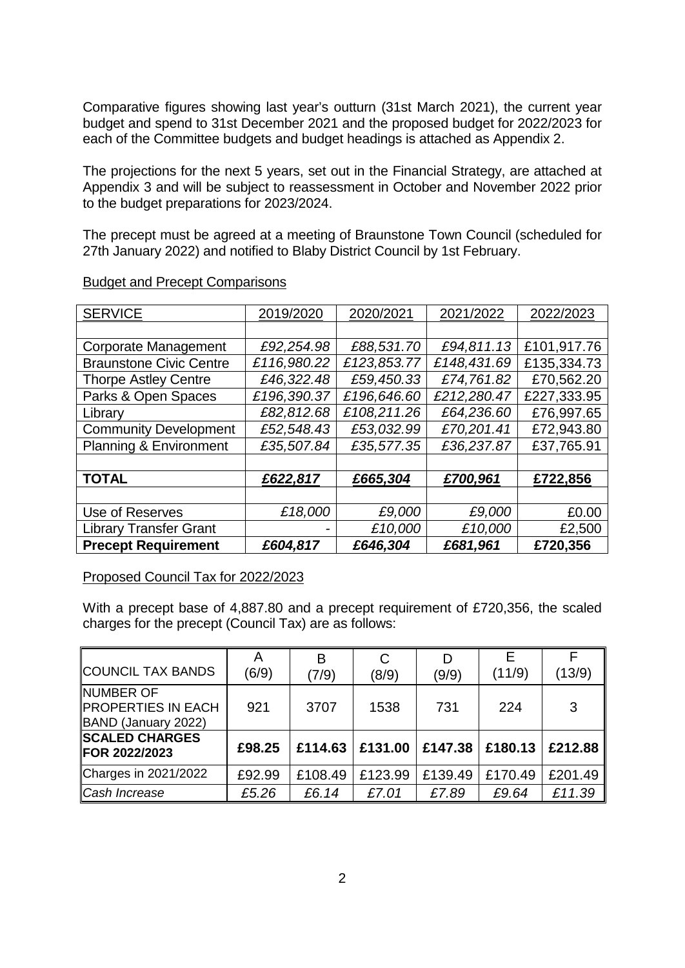Comparative figures showing last year's outturn (31st March 2021), the current year budget and spend to 31st December 2021 and the proposed budget for 2022/2023 for each of the Committee budgets and budget headings is attached as Appendix 2.

The projections for the next 5 years, set out in the Financial Strategy, are attached at Appendix 3 and will be subject to reassessment in October and November 2022 prior to the budget preparations for 2023/2024.

The precept must be agreed at a meeting of Braunstone Town Council (scheduled for 27th January 2022) and notified to Blaby District Council by 1st February.

| <b>SERVICE</b>                 | 2019/2020   | 2020/2021   | 2021/2022   | 2022/2023   |
|--------------------------------|-------------|-------------|-------------|-------------|
|                                |             |             |             |             |
| Corporate Management           | £92,254.98  | £88,531.70  | £94,811.13  | £101,917.76 |
| <b>Braunstone Civic Centre</b> | £116,980.22 | £123,853.77 | £148,431.69 | £135,334.73 |
| <b>Thorpe Astley Centre</b>    | £46,322.48  | £59,450.33  | £74,761.82  | £70,562.20  |
| Parks & Open Spaces            | £196,390.37 | £196,646.60 | £212,280.47 | £227,333.95 |
| Library                        | £82,812.68  | £108,211.26 | £64,236.60  | £76,997.65  |
| <b>Community Development</b>   | £52,548.43  | £53,032.99  | £70,201.41  | £72,943.80  |
| Planning & Environment         | £35,507.84  | £35,577.35  | £36,237.87  | £37,765.91  |
|                                |             |             |             |             |
| <b>TOTAL</b>                   | £622,817    | £665,304    | £700,961    | £722,856    |
|                                |             |             |             |             |
| Use of Reserves                | £18,000     | £9,000      | £9,000      | £0.00       |
| <b>Library Transfer Grant</b>  |             | £10,000     | £10,000     | £2,500      |
| <b>Precept Requirement</b>     | £604,817    | £646,304    | £681,961    | £720,356    |

### Budget and Precept Comparisons

## Proposed Council Tax for 2022/2023

With a precept base of 4,887.80 and a precept requirement of £720,356, the scaled charges for the precept (Council Tax) are as follows:

| COUNCIL TAX BANDS                                      | (6/9)  | B<br>(7/9) | C<br>(8/9)        | D<br>(9/9) | (11/9)  | (13/9)  |
|--------------------------------------------------------|--------|------------|-------------------|------------|---------|---------|
| NUMBER OF<br>PROPERTIES IN EACH<br>BAND (January 2022) | 921    | 3707       | 1538              | 731        | 224     | 3       |
| <b>SCALED CHARGES</b><br><b>FOR 2022/2023</b>          | £98.25 |            | £114.63   £131.00 | £147.38    | £180.13 | £212.88 |
| Charges in 2021/2022                                   | £92.99 | £108.49    | £123.99           | £139.49    | £170.49 | £201.49 |
| ∥Cash Increase                                         | £5.26  | £6.14      | £7.01             | £7.89      | £9.64   | £11.39  |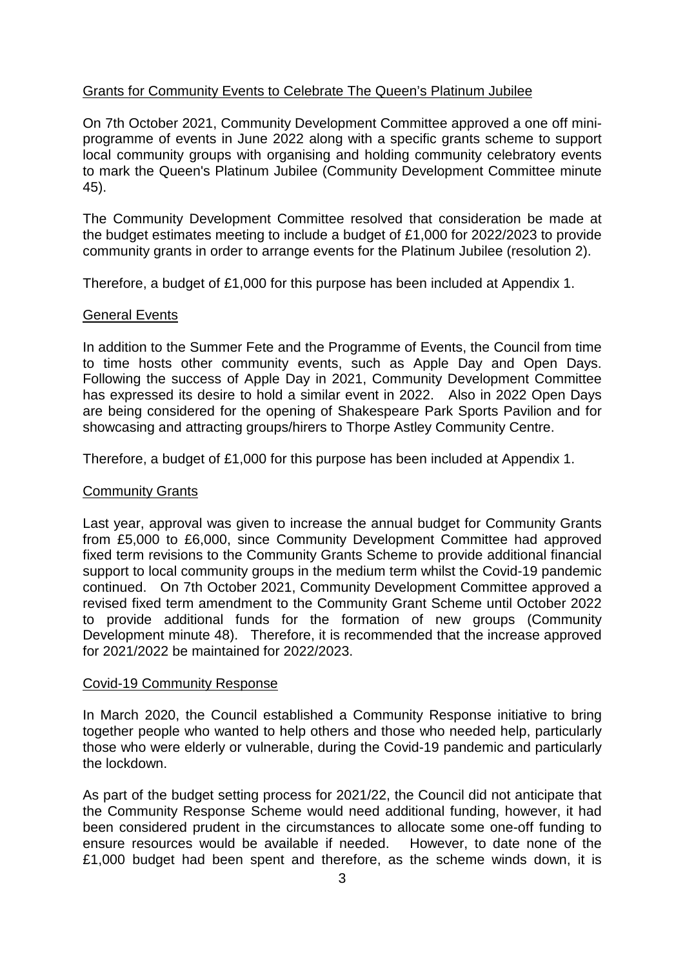# Grants for Community Events to Celebrate The Queen's Platinum Jubilee

On 7th October 2021, Community Development Committee approved a one off miniprogramme of events in June 2022 along with a specific grants scheme to support local community groups with organising and holding community celebratory events to mark the Queen's Platinum Jubilee (Community Development Committee minute 45).

The Community Development Committee resolved that consideration be made at the budget estimates meeting to include a budget of £1,000 for 2022/2023 to provide community grants in order to arrange events for the Platinum Jubilee (resolution 2).

Therefore, a budget of £1,000 for this purpose has been included at Appendix 1.

# General Events

In addition to the Summer Fete and the Programme of Events, the Council from time to time hosts other community events, such as Apple Day and Open Days. Following the success of Apple Day in 2021, Community Development Committee has expressed its desire to hold a similar event in 2022. Also in 2022 Open Days are being considered for the opening of Shakespeare Park Sports Pavilion and for showcasing and attracting groups/hirers to Thorpe Astley Community Centre.

Therefore, a budget of £1,000 for this purpose has been included at Appendix 1.

# Community Grants

Last year, approval was given to increase the annual budget for Community Grants from £5,000 to £6,000, since Community Development Committee had approved fixed term revisions to the Community Grants Scheme to provide additional financial support to local community groups in the medium term whilst the Covid-19 pandemic continued. On 7th October 2021, Community Development Committee approved a revised fixed term amendment to the Community Grant Scheme until October 2022 to provide additional funds for the formation of new groups (Community Development minute 48). Therefore, it is recommended that the increase approved for 2021/2022 be maintained for 2022/2023.

## Covid-19 Community Response

In March 2020, the Council established a Community Response initiative to bring together people who wanted to help others and those who needed help, particularly those who were elderly or vulnerable, during the Covid-19 pandemic and particularly the lockdown.

As part of the budget setting process for 2021/22, the Council did not anticipate that the Community Response Scheme would need additional funding, however, it had been considered prudent in the circumstances to allocate some one-off funding to ensure resources would be available if needed. However, to date none of the £1,000 budget had been spent and therefore, as the scheme winds down, it is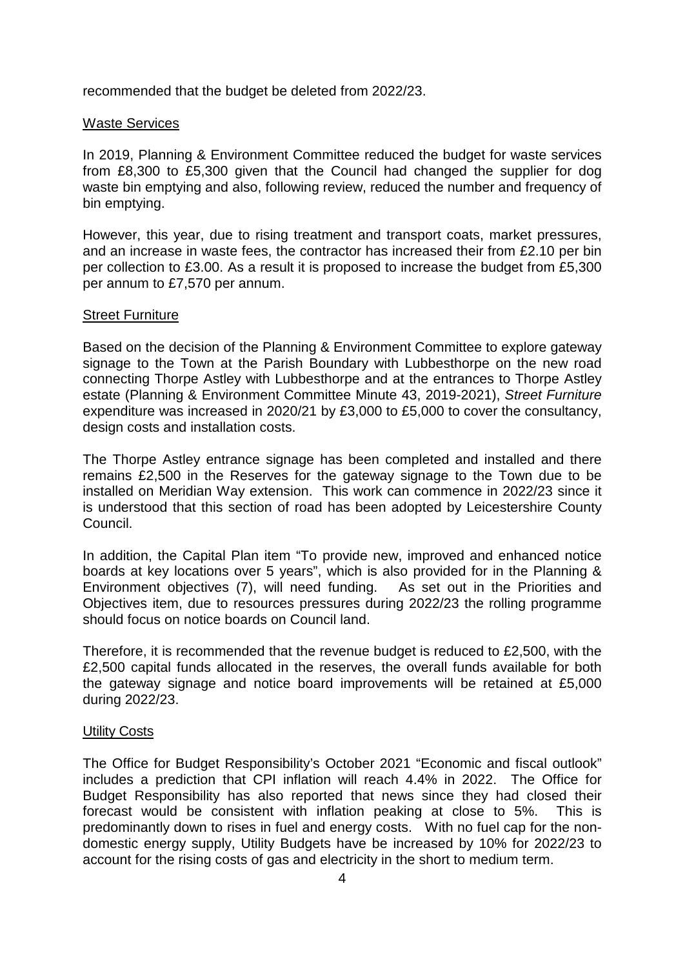recommended that the budget be deleted from 2022/23.

### Waste Services

In 2019, Planning & Environment Committee reduced the budget for waste services from £8,300 to £5,300 given that the Council had changed the supplier for dog waste bin emptying and also, following review, reduced the number and frequency of bin emptying.

However, this year, due to rising treatment and transport coats, market pressures, and an increase in waste fees, the contractor has increased their from £2.10 per bin per collection to £3.00. As a result it is proposed to increase the budget from £5,300 per annum to £7,570 per annum.

### Street Furniture

Based on the decision of the Planning & Environment Committee to explore gateway signage to the Town at the Parish Boundary with Lubbesthorpe on the new road connecting Thorpe Astley with Lubbesthorpe and at the entrances to Thorpe Astley estate (Planning & Environment Committee Minute 43, 2019-2021), *Street Furniture* expenditure was increased in 2020/21 by £3,000 to £5,000 to cover the consultancy, design costs and installation costs.

The Thorpe Astley entrance signage has been completed and installed and there remains £2,500 in the Reserves for the gateway signage to the Town due to be installed on Meridian Way extension. This work can commence in 2022/23 since it is understood that this section of road has been adopted by Leicestershire County Council.

In addition, the Capital Plan item "To provide new, improved and enhanced notice boards at key locations over 5 years", which is also provided for in the Planning & Environment objectives (7), will need funding. As set out in the Priorities and Objectives item, due to resources pressures during 2022/23 the rolling programme should focus on notice boards on Council land.

Therefore, it is recommended that the revenue budget is reduced to £2,500, with the £2,500 capital funds allocated in the reserves, the overall funds available for both the gateway signage and notice board improvements will be retained at £5,000 during 2022/23.

## Utility Costs

The Office for Budget Responsibility's October 2021 "Economic and fiscal outlook" includes a prediction that CPI inflation will reach 4.4% in 2022. The Office for Budget Responsibility has also reported that news since they had closed their forecast would be consistent with inflation peaking at close to 5%. This is predominantly down to rises in fuel and energy costs. With no fuel cap for the nondomestic energy supply, Utility Budgets have be increased by 10% for 2022/23 to account for the rising costs of gas and electricity in the short to medium term.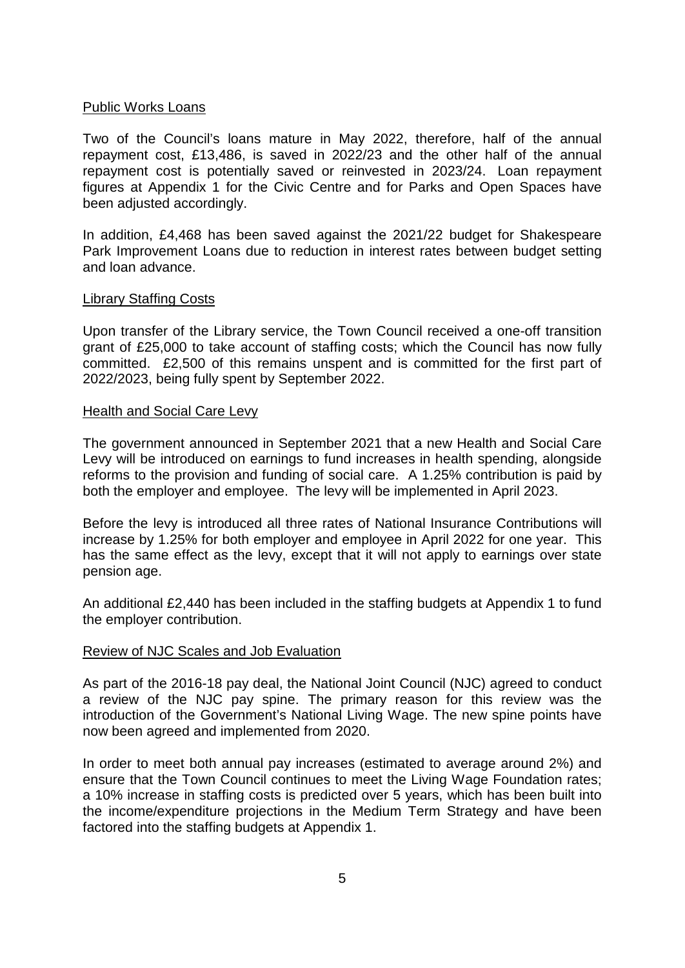### Public Works Loans

Two of the Council's loans mature in May 2022, therefore, half of the annual repayment cost, £13,486, is saved in 2022/23 and the other half of the annual repayment cost is potentially saved or reinvested in 2023/24. Loan repayment figures at Appendix 1 for the Civic Centre and for Parks and Open Spaces have been adjusted accordingly.

In addition, £4,468 has been saved against the 2021/22 budget for Shakespeare Park Improvement Loans due to reduction in interest rates between budget setting and loan advance.

### Library Staffing Costs

Upon transfer of the Library service, the Town Council received a one-off transition grant of £25,000 to take account of staffing costs; which the Council has now fully committed. £2,500 of this remains unspent and is committed for the first part of 2022/2023, being fully spent by September 2022.

### Health and Social Care Levy

The government announced in September 2021 that a new Health and Social Care Levy will be introduced on earnings to fund increases in health spending, alongside reforms to the provision and funding of social care. A 1.25% contribution is paid by both the employer and employee. The levy will be implemented in April 2023.

Before the levy is introduced all three rates of National Insurance Contributions will increase by 1.25% for both employer and employee in April 2022 for one year. This has the same effect as the levy, except that it will not apply to earnings over state pension age.

An additional £2,440 has been included in the staffing budgets at Appendix 1 to fund the employer contribution.

## Review of NJC Scales and Job Evaluation

As part of the 2016-18 pay deal, the National Joint Council (NJC) agreed to conduct a review of the NJC pay spine. The primary reason for this review was the introduction of the Government's National Living Wage. The new spine points have now been agreed and implemented from 2020.

In order to meet both annual pay increases (estimated to average around 2%) and ensure that the Town Council continues to meet the Living Wage Foundation rates; a 10% increase in staffing costs is predicted over 5 years, which has been built into the income/expenditure projections in the Medium Term Strategy and have been factored into the staffing budgets at Appendix 1.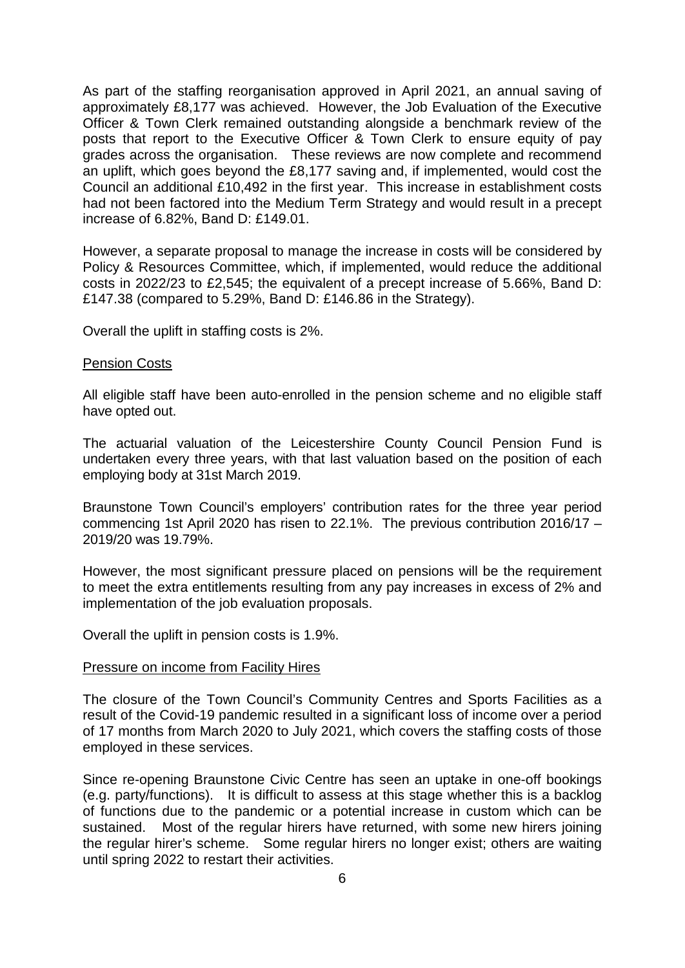As part of the staffing reorganisation approved in April 2021, an annual saving of approximately £8,177 was achieved. However, the Job Evaluation of the Executive Officer & Town Clerk remained outstanding alongside a benchmark review of the posts that report to the Executive Officer & Town Clerk to ensure equity of pay grades across the organisation. These reviews are now complete and recommend an uplift, which goes beyond the £8,177 saving and, if implemented, would cost the Council an additional £10,492 in the first year. This increase in establishment costs had not been factored into the Medium Term Strategy and would result in a precept increase of 6.82%, Band D: £149.01.

However, a separate proposal to manage the increase in costs will be considered by Policy & Resources Committee, which, if implemented, would reduce the additional costs in 2022/23 to £2,545; the equivalent of a precept increase of 5.66%, Band D: £147.38 (compared to 5.29%, Band D: £146.86 in the Strategy).

Overall the uplift in staffing costs is 2%.

### Pension Costs

All eligible staff have been auto-enrolled in the pension scheme and no eligible staff have opted out.

The actuarial valuation of the Leicestershire County Council Pension Fund is undertaken every three years, with that last valuation based on the position of each employing body at 31st March 2019.

Braunstone Town Council's employers' contribution rates for the three year period commencing 1st April 2020 has risen to 22.1%. The previous contribution 2016/17 – 2019/20 was 19.79%.

However, the most significant pressure placed on pensions will be the requirement to meet the extra entitlements resulting from any pay increases in excess of 2% and implementation of the job evaluation proposals.

Overall the uplift in pension costs is 1.9%.

#### Pressure on income from Facility Hires

The closure of the Town Council's Community Centres and Sports Facilities as a result of the Covid-19 pandemic resulted in a significant loss of income over a period of 17 months from March 2020 to July 2021, which covers the staffing costs of those employed in these services.

Since re-opening Braunstone Civic Centre has seen an uptake in one-off bookings (e.g. party/functions). It is difficult to assess at this stage whether this is a backlog of functions due to the pandemic or a potential increase in custom which can be sustained. Most of the regular hirers have returned, with some new hirers joining the regular hirer's scheme. Some regular hirers no longer exist; others are waiting until spring 2022 to restart their activities.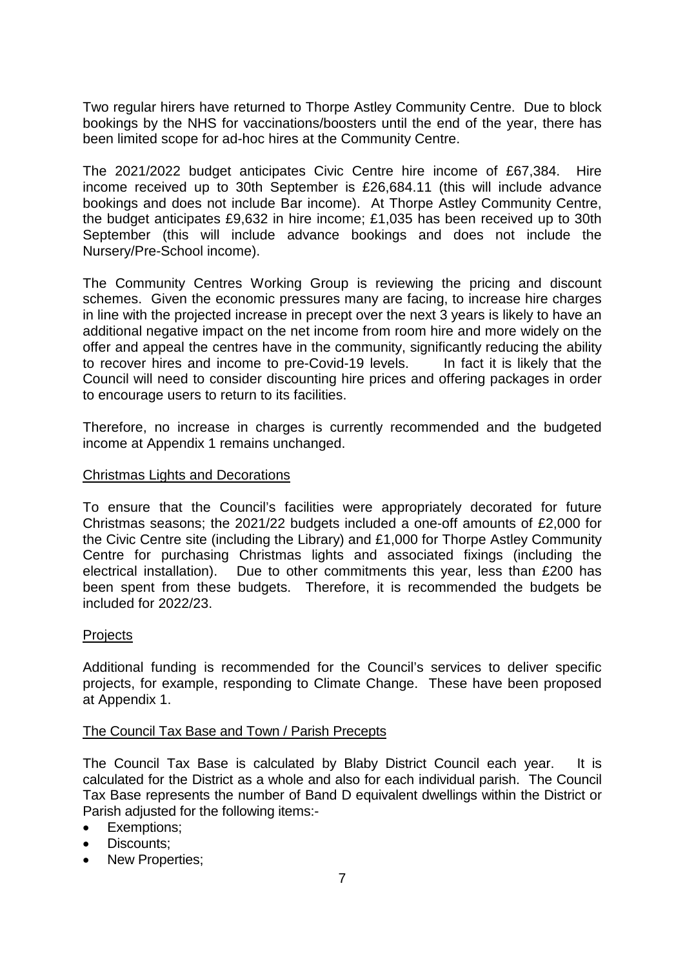Two regular hirers have returned to Thorpe Astley Community Centre. Due to block bookings by the NHS for vaccinations/boosters until the end of the year, there has been limited scope for ad-hoc hires at the Community Centre.

The 2021/2022 budget anticipates Civic Centre hire income of £67,384. Hire income received up to 30th September is £26,684.11 (this will include advance bookings and does not include Bar income). At Thorpe Astley Community Centre, the budget anticipates £9,632 in hire income; £1,035 has been received up to 30th September (this will include advance bookings and does not include the Nursery/Pre-School income).

The Community Centres Working Group is reviewing the pricing and discount schemes. Given the economic pressures many are facing, to increase hire charges in line with the projected increase in precept over the next 3 years is likely to have an additional negative impact on the net income from room hire and more widely on the offer and appeal the centres have in the community, significantly reducing the ability to recover hires and income to pre-Covid-19 levels. In fact it is likely that the Council will need to consider discounting hire prices and offering packages in order to encourage users to return to its facilities.

Therefore, no increase in charges is currently recommended and the budgeted income at Appendix 1 remains unchanged.

## Christmas Lights and Decorations

To ensure that the Council's facilities were appropriately decorated for future Christmas seasons; the 2021/22 budgets included a one-off amounts of £2,000 for the Civic Centre site (including the Library) and £1,000 for Thorpe Astley Community Centre for purchasing Christmas lights and associated fixings (including the electrical installation). Due to other commitments this year, less than £200 has been spent from these budgets. Therefore, it is recommended the budgets be included for 2022/23.

## **Projects**

Additional funding is recommended for the Council's services to deliver specific projects, for example, responding to Climate Change. These have been proposed at Appendix 1.

## The Council Tax Base and Town / Parish Precepts

The Council Tax Base is calculated by Blaby District Council each year. It is calculated for the District as a whole and also for each individual parish. The Council Tax Base represents the number of Band D equivalent dwellings within the District or Parish adjusted for the following items:-

- Exemptions;
- Discounts:
- New Properties;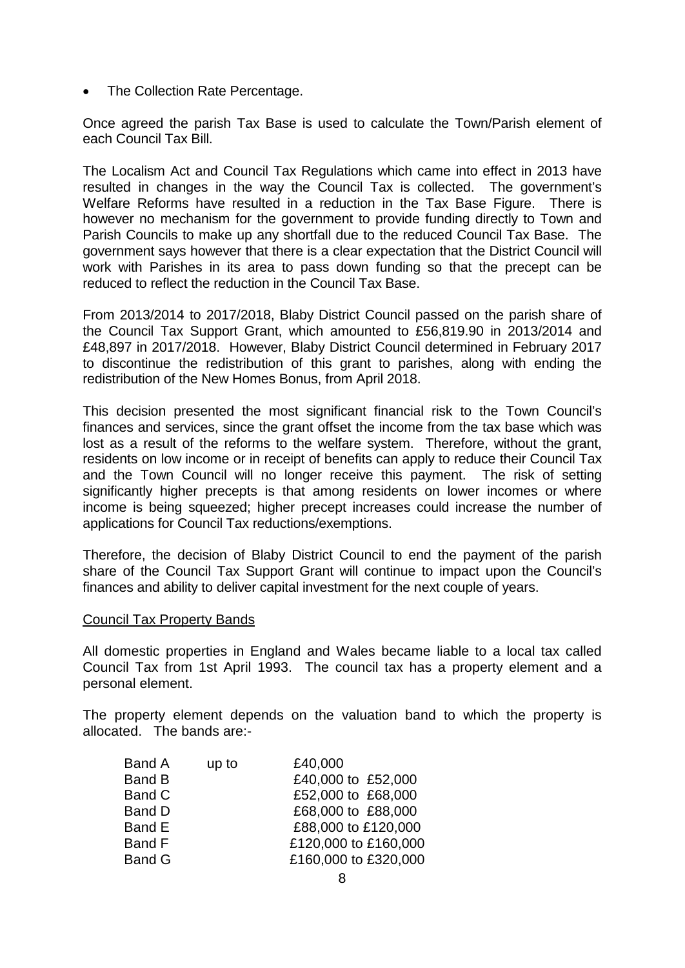• The Collection Rate Percentage.

Once agreed the parish Tax Base is used to calculate the Town/Parish element of each Council Tax Bill.

The Localism Act and Council Tax Regulations which came into effect in 2013 have resulted in changes in the way the Council Tax is collected. The government's Welfare Reforms have resulted in a reduction in the Tax Base Figure. There is however no mechanism for the government to provide funding directly to Town and Parish Councils to make up any shortfall due to the reduced Council Tax Base. The government says however that there is a clear expectation that the District Council will work with Parishes in its area to pass down funding so that the precept can be reduced to reflect the reduction in the Council Tax Base.

From 2013/2014 to 2017/2018, Blaby District Council passed on the parish share of the Council Tax Support Grant, which amounted to £56,819.90 in 2013/2014 and £48,897 in 2017/2018. However, Blaby District Council determined in February 2017 to discontinue the redistribution of this grant to parishes, along with ending the redistribution of the New Homes Bonus, from April 2018.

This decision presented the most significant financial risk to the Town Council's finances and services, since the grant offset the income from the tax base which was lost as a result of the reforms to the welfare system. Therefore, without the grant, residents on low income or in receipt of benefits can apply to reduce their Council Tax and the Town Council will no longer receive this payment. The risk of setting significantly higher precepts is that among residents on lower incomes or where income is being squeezed; higher precept increases could increase the number of applications for Council Tax reductions/exemptions.

Therefore, the decision of Blaby District Council to end the payment of the parish share of the Council Tax Support Grant will continue to impact upon the Council's finances and ability to deliver capital investment for the next couple of years.

## Council Tax Property Bands

All domestic properties in England and Wales became liable to a local tax called Council Tax from 1st April 1993. The council tax has a property element and a personal element.

The property element depends on the valuation band to which the property is allocated. The bands are:-

| Band A        | up to | £40,000              |
|---------------|-------|----------------------|
| <b>Band B</b> |       | £40,000 to £52,000   |
| <b>Band C</b> |       | £52,000 to £68,000   |
| <b>Band D</b> |       | £68,000 to £88,000   |
| Band E        |       | £88,000 to £120,000  |
| Band F        |       | £120,000 to £160,000 |
| <b>Band G</b> |       | £160,000 to £320,000 |
|               |       |                      |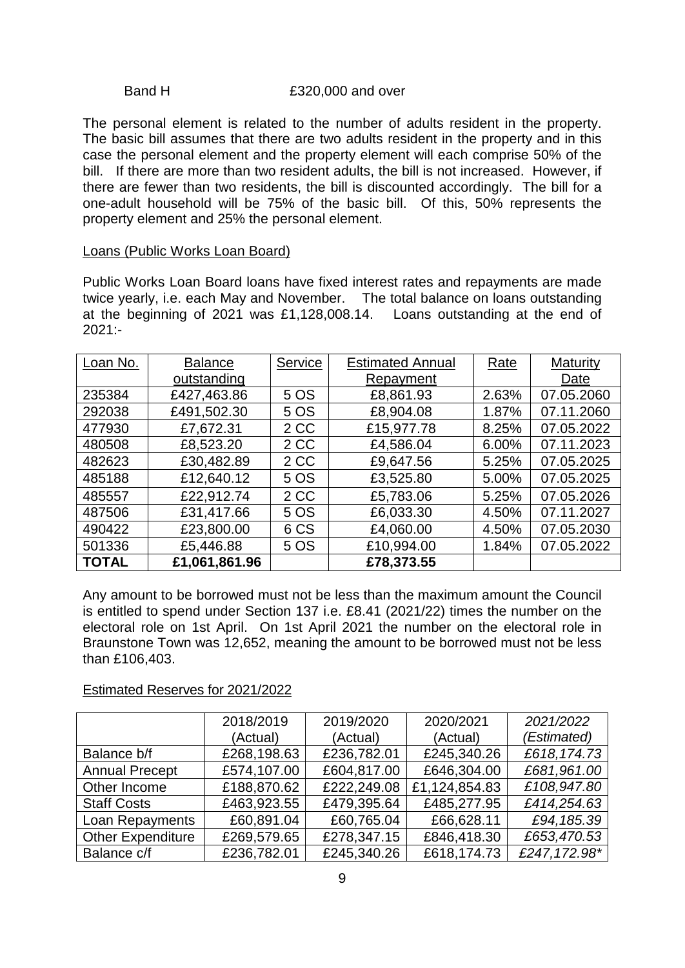#### Band H  $£320,000$  and over

The personal element is related to the number of adults resident in the property. The basic bill assumes that there are two adults resident in the property and in this case the personal element and the property element will each comprise 50% of the bill. If there are more than two resident adults, the bill is not increased. However, if there are fewer than two residents, the bill is discounted accordingly. The bill for a one-adult household will be 75% of the basic bill. Of this, 50% represents the property element and 25% the personal element.

### Loans (Public Works Loan Board)

Public Works Loan Board loans have fixed interest rates and repayments are made twice yearly, i.e. each May and November. The total balance on loans outstanding at the beginning of 2021 was £1,128,008.14. Loans outstanding at the end of 2021:-

| Loan No.     | <b>Balance</b> | Service | <b>Estimated Annual</b> | Rate  | Maturity   |
|--------------|----------------|---------|-------------------------|-------|------------|
|              | outstanding    |         | Repayment               |       | Date       |
| 235384       | £427,463.86    | 5 OS    | £8,861.93               | 2.63% | 07.05.2060 |
| 292038       | £491,502.30    | 5 OS    | £8,904.08               | 1.87% | 07.11.2060 |
| 477930       | £7,672.31      | 2 CC    | £15,977.78              | 8.25% | 07.05.2022 |
| 480508       | £8,523.20      | 2 CC    | £4,586.04               | 6.00% | 07.11.2023 |
| 482623       | £30,482.89     | 2 CC    | £9,647.56               | 5.25% | 07.05.2025 |
| 485188       | £12,640.12     | 5 OS    | £3,525.80               | 5.00% | 07.05.2025 |
| 485557       | £22,912.74     | 2 CC    | £5,783.06               | 5.25% | 07.05.2026 |
| 487506       | £31,417.66     | 5 OS    | £6,033.30               | 4.50% | 07.11.2027 |
| 490422       | £23,800.00     | 6 CS    | £4,060.00               | 4.50% | 07.05.2030 |
| 501336       | £5,446.88      | 5 OS    | £10,994.00              | 1.84% | 07.05.2022 |
| <b>TOTAL</b> | £1,061,861.96  |         | £78,373.55              |       |            |

Any amount to be borrowed must not be less than the maximum amount the Council is entitled to spend under Section 137 i.e. £8.41 (2021/22) times the number on the electoral role on 1st April. On 1st April 2021 the number on the electoral role in Braunstone Town was 12,652, meaning the amount to be borrowed must not be less than £106,403.

## Estimated Reserves for 2021/2022

|                          | 2018/2019   | 2019/2020   | 2020/2021     | 2021/2022    |
|--------------------------|-------------|-------------|---------------|--------------|
|                          | (Actual)    | (Actual)    | (Actual)      | (Estimated)  |
| Balance b/f              | £268,198.63 | £236,782.01 | £245,340.26   | £618,174.73  |
| <b>Annual Precept</b>    | £574,107.00 | £604,817.00 | £646,304.00   | £681,961.00  |
| Other Income             | £188,870.62 | £222,249.08 | £1,124,854.83 | £108,947.80  |
| <b>Staff Costs</b>       | £463,923.55 | £479,395.64 | £485,277.95   | £414,254.63  |
| Loan Repayments          | £60,891.04  | £60,765.04  | £66,628.11    | £94,185.39   |
| <b>Other Expenditure</b> | £269,579.65 | £278,347.15 | £846,418.30   | £653,470.53  |
| Balance c/f              | £236,782.01 | £245,340.26 | £618,174.73   | £247,172.98* |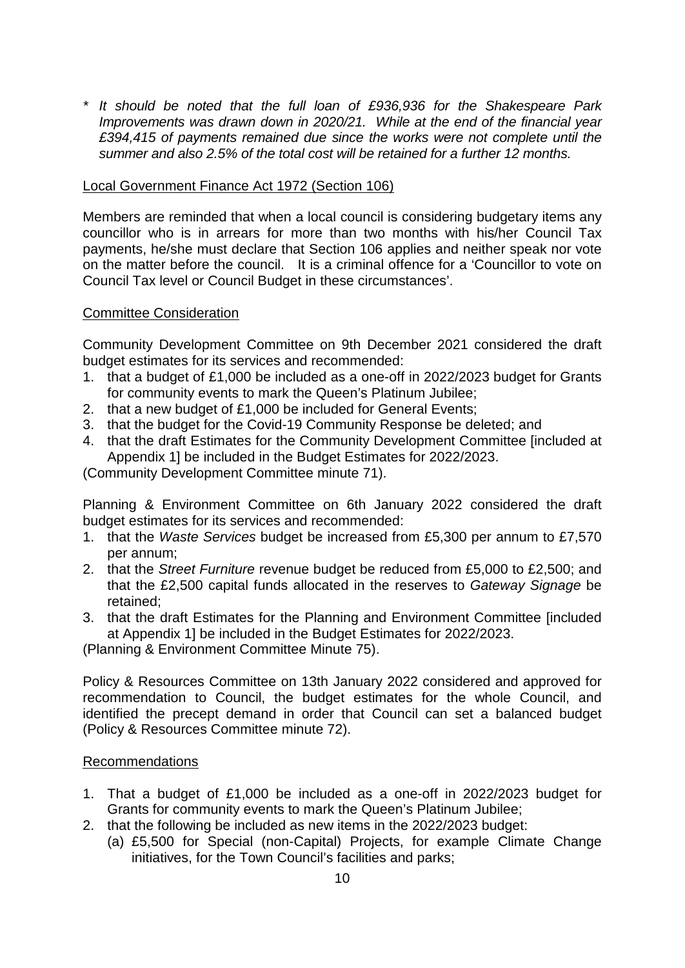*\* It should be noted that the full loan of £936,936 for the Shakespeare Park Improvements was drawn down in 2020/21. While at the end of the financial year £394,415 of payments remained due since the works were not complete until the summer and also 2.5% of the total cost will be retained for a further 12 months.* 

# Local Government Finance Act 1972 (Section 106)

Members are reminded that when a local council is considering budgetary items any councillor who is in arrears for more than two months with his/her Council Tax payments, he/she must declare that Section 106 applies and neither speak nor vote on the matter before the council. It is a criminal offence for a 'Councillor to vote on Council Tax level or Council Budget in these circumstances'.

## Committee Consideration

Community Development Committee on 9th December 2021 considered the draft budget estimates for its services and recommended:

- 1. that a budget of £1,000 be included as a one-off in 2022/2023 budget for Grants for community events to mark the Queen's Platinum Jubilee;
- 2. that a new budget of £1,000 be included for General Events;
- 3. that the budget for the Covid-19 Community Response be deleted; and
- 4. that the draft Estimates for the Community Development Committee [included at Appendix 1] be included in the Budget Estimates for 2022/2023.

(Community Development Committee minute 71).

Planning & Environment Committee on 6th January 2022 considered the draft budget estimates for its services and recommended:

- 1. that the *Waste Services* budget be increased from £5,300 per annum to £7,570 per annum;
- 2. that the *Street Furniture* revenue budget be reduced from £5,000 to £2,500; and that the £2,500 capital funds allocated in the reserves to *Gateway Signage* be retained;
- 3. that the draft Estimates for the Planning and Environment Committee [included at Appendix 1] be included in the Budget Estimates for 2022/2023.

(Planning & Environment Committee Minute 75).

Policy & Resources Committee on 13th January 2022 considered and approved for recommendation to Council, the budget estimates for the whole Council, and identified the precept demand in order that Council can set a balanced budget (Policy & Resources Committee minute 72).

## Recommendations

- 1. That a budget of £1,000 be included as a one-off in 2022/2023 budget for Grants for community events to mark the Queen's Platinum Jubilee;
- 2. that the following be included as new items in the 2022/2023 budget:
	- (a) £5,500 for Special (non-Capital) Projects, for example Climate Change initiatives, for the Town Council's facilities and parks;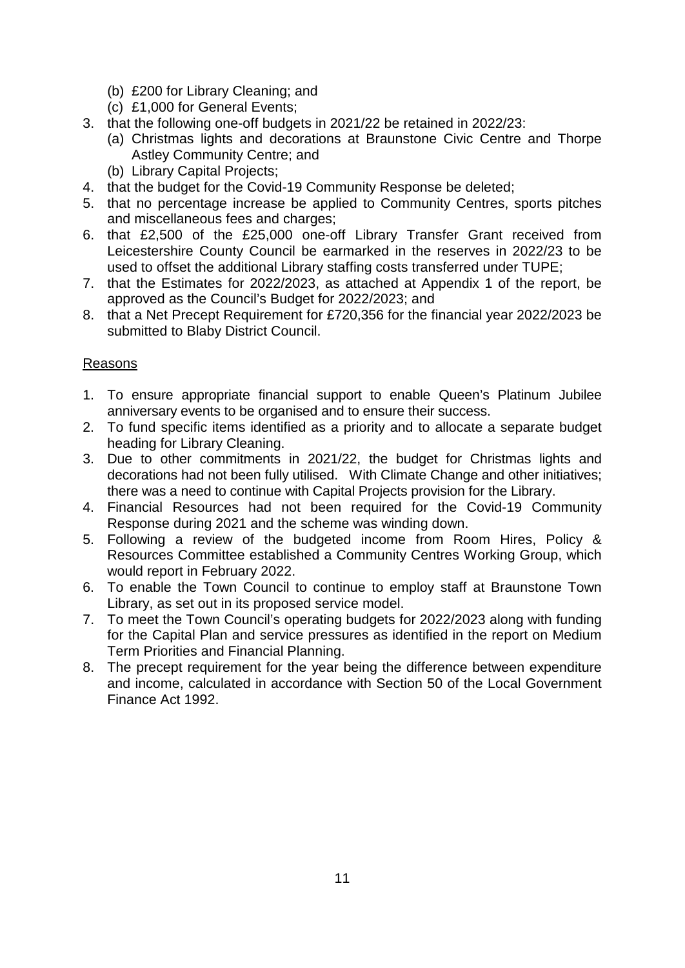- (b) £200 for Library Cleaning; and
- (c) £1,000 for General Events;
- 3. that the following one-off budgets in 2021/22 be retained in 2022/23:
	- (a) Christmas lights and decorations at Braunstone Civic Centre and Thorpe Astley Community Centre; and
	- (b) Library Capital Projects;
- 4. that the budget for the Covid-19 Community Response be deleted;
- 5. that no percentage increase be applied to Community Centres, sports pitches and miscellaneous fees and charges;
- 6. that £2,500 of the £25,000 one-off Library Transfer Grant received from Leicestershire County Council be earmarked in the reserves in 2022/23 to be used to offset the additional Library staffing costs transferred under TUPE;
- 7. that the Estimates for 2022/2023, as attached at Appendix 1 of the report, be approved as the Council's Budget for 2022/2023; and
- 8. that a Net Precept Requirement for £720,356 for the financial year 2022/2023 be submitted to Blaby District Council.

# Reasons

- 1. To ensure appropriate financial support to enable Queen's Platinum Jubilee anniversary events to be organised and to ensure their success.
- 2. To fund specific items identified as a priority and to allocate a separate budget heading for Library Cleaning.
- 3. Due to other commitments in 2021/22, the budget for Christmas lights and decorations had not been fully utilised. With Climate Change and other initiatives; there was a need to continue with Capital Projects provision for the Library.
- 4. Financial Resources had not been required for the Covid-19 Community Response during 2021 and the scheme was winding down.
- 5. Following a review of the budgeted income from Room Hires, Policy & Resources Committee established a Community Centres Working Group, which would report in February 2022.
- 6. To enable the Town Council to continue to employ staff at Braunstone Town Library, as set out in its proposed service model.
- 7. To meet the Town Council's operating budgets for 2022/2023 along with funding for the Capital Plan and service pressures as identified in the report on Medium Term Priorities and Financial Planning.
- 8. The precept requirement for the year being the difference between expenditure and income, calculated in accordance with Section 50 of the Local Government Finance Act 1992.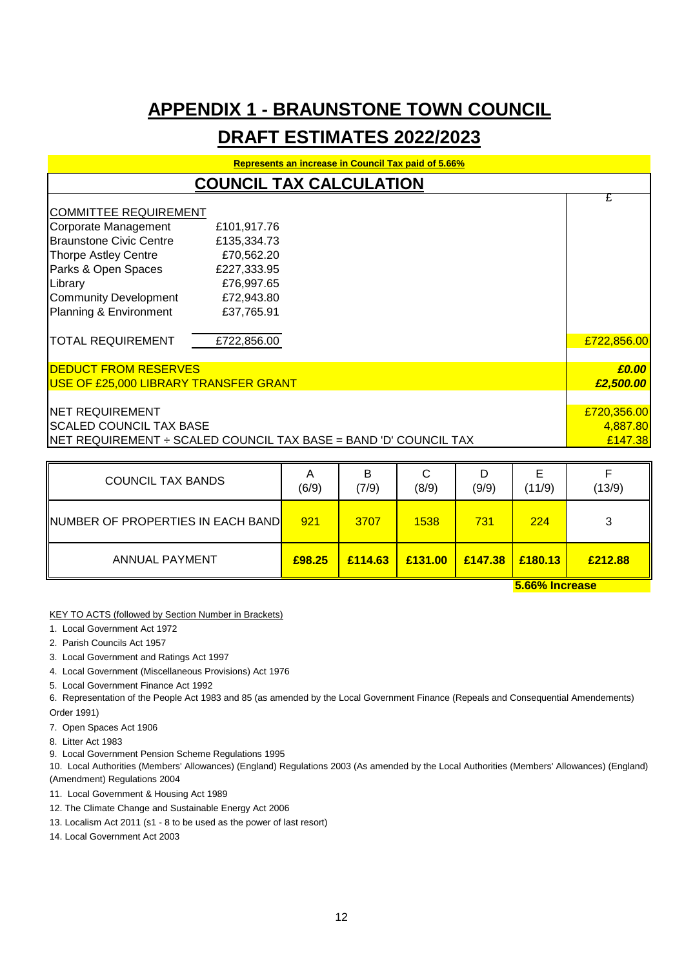# **APPENDIX 1 - BRAUNSTONE TOWN COUNCIL**

# **DRAFT ESTIMATES 2022/2023**

| <b>Represents an increase in Council Tax paid of 5.66%</b> |                                                                  |                     |  |
|------------------------------------------------------------|------------------------------------------------------------------|---------------------|--|
|                                                            | <b>COUNCIL TAX CALCULATION</b>                                   |                     |  |
| <b>COMMITTEE REQUIREMENT</b>                               |                                                                  | £                   |  |
| Corporate Management<br><b>Braunstone Civic Centre</b>     | £101,917.76<br>£135,334.73                                       |                     |  |
| <b>Thorpe Astley Centre</b><br>Parks & Open Spaces         | £70,562.20<br>£227,333.95                                        |                     |  |
| Library                                                    | £76,997.65                                                       |                     |  |
| <b>Community Development</b><br>Planning & Environment     | £72,943.80<br>£37,765.91                                         |                     |  |
| <b>TOTAL REQUIREMENT</b>                                   | £722,856.00                                                      | £722,856.00         |  |
| <b>IDEDUCT FROM RESERVES</b>                               |                                                                  | £0.00               |  |
| USE OF £25,000 LIBRARY TRANSFER GRANT                      |                                                                  | £2,500.00           |  |
| <b>NET REQUIREMENT</b>                                     |                                                                  | £720,356.00         |  |
| <b>SCALED COUNCIL TAX BASE</b>                             | NET REQUIREMENT ÷ SCALED COUNCIL TAX BASE = BAND 'D' COUNCIL TAX | 4,887.80<br>£147.38 |  |

| <b>COUNCIL TAX BANDS</b>                          | A<br>(6/9) | в<br>(7/9) | ັ<br>(8/9) | D<br>(9/9) | E<br>(11/9)                | (13/9)  |
|---------------------------------------------------|------------|------------|------------|------------|----------------------------|---------|
| INUMBER OF PROPERTIES IN EACH BAND <mark>I</mark> | 921        | 3707       | 1538       | 731        | 224                        |         |
| <b>ANNUAL PAYMENT</b>                             | £98.25     | £114.63    | £131.00    | £147.38    | £180.13<br>E CCO/ Inorance | £212.88 |

**5.66% Increase**

KEY TO ACTS (followed by Section Number in Brackets)

- 1. Local Government Act 1972
- 2. Parish Councils Act 1957
- 3. Local Government and Ratings Act 1997
- 4. Local Government (Miscellaneous Provisions) Act 1976
- 5. Local Government Finance Act 1992
- 6. Representation of the People Act 1983 and 85 (as amended by the Local Government Finance (Repeals and Consequential Amendements) Order 1991)
- 7. Open Spaces Act 1906
- 8. Litter Act 1983
- 9. Local Government Pension Scheme Regulations 1995

10. Local Authorities (Members' Allowances) (England) Regulations 2003 (As amended by the Local Authorities (Members' Allowances) (England) (Amendment) Regulations 2004

- 11. Local Government & Housing Act 1989
- 12. The Climate Change and Sustainable Energy Act 2006
- 13. Localism Act 2011 (s1 8 to be used as the power of last resort)
- 14. Local Government Act 2003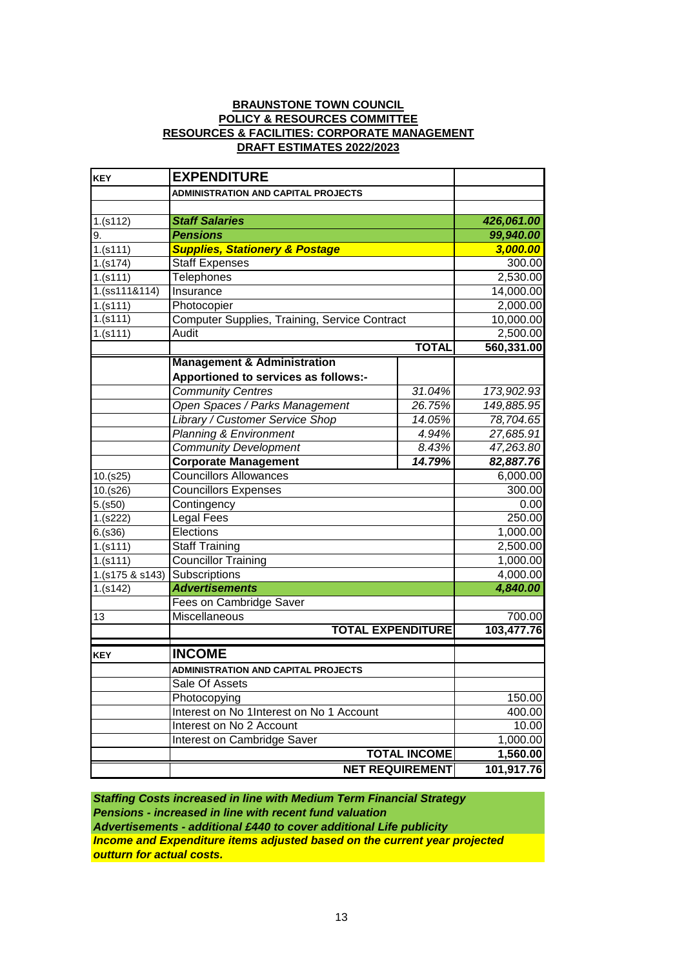### **BRAUNSTONE TOWN COUNCIL DRAFT ESTIMATES 2022/2023 POLICY & RESOURCES COMMITTEE RESOURCES & FACILITIES: CORPORATE MANAGEMENT**

| <b>KEY</b>      | <b>EXPENDITURE</b>                                    |                        |            |
|-----------------|-------------------------------------------------------|------------------------|------------|
|                 | <b>ADMINISTRATION AND CAPITAL PROJECTS</b>            |                        |            |
|                 |                                                       |                        |            |
| 1.(s112)        | <b>Staff Salaries</b>                                 | 426,061.00             |            |
| 9.              | <b>Pensions</b>                                       |                        | 99,940.00  |
| 1.(s111)        | <b>Supplies, Stationery &amp; Postage</b>             |                        | 3,000.00   |
| 1.(s174)        | <b>Staff Expenses</b>                                 |                        | 300.00     |
| 1.(s111)        | <b>Telephones</b>                                     |                        | 2,530.00   |
| 1.(ss111&114)   | Insurance                                             |                        | 14,000.00  |
| $1.$ (s111)     | Photocopier                                           |                        | 2,000.00   |
| 1.(s111)        | Computer Supplies, Training, Service Contract         |                        | 10,000.00  |
| 1.(s111)        | Audit                                                 |                        | 2,500.00   |
|                 |                                                       | <b>TOTAL</b>           | 560,331.00 |
|                 | <b>Management &amp; Administration</b>                |                        |            |
|                 | Apportioned to services as follows:-                  |                        |            |
|                 | <b>Community Centres</b>                              | 31.04%                 | 173,902.93 |
|                 | Open Spaces / Parks Management                        | 26.75%                 | 149,885.95 |
|                 | Library / Customer Service Shop                       | 14.05%                 | 78,704.65  |
|                 | <b>Planning &amp; Environment</b>                     | 4.94%                  | 27,685.91  |
|                 | <b>Community Development</b>                          | 8.43%                  | 47,263.80  |
|                 | <b>Corporate Management</b>                           | 14.79%                 | 82,887.76  |
| 10.(s25)        | <b>Councillors Allowances</b>                         |                        | 6,000.00   |
| 10.(s26)        | <b>Councillors Expenses</b>                           |                        | 300.00     |
| 5.(s50)         | Contingency                                           |                        | 0.00       |
| 1.(s222)        | Legal Fees                                            |                        | 250.00     |
| 6.(s36)         | Elections                                             |                        | 1,000.00   |
| 1.(s111)        | <b>Staff Training</b>                                 |                        | 2,500.00   |
| 1.(s111)        | <b>Councillor Training</b>                            |                        | 1,000.00   |
| 1.(s175 & s143) | Subscriptions                                         |                        | 4,000.00   |
| 1.(s142)        | <b>Advertisements</b>                                 |                        | 4,840.00   |
|                 | Fees on Cambridge Saver                               |                        |            |
| 13              | Miscellaneous                                         |                        | 700.00     |
|                 | <b>TOTAL EXPENDITURE</b>                              |                        | 103,477.76 |
|                 | <b>INCOME</b>                                         |                        |            |
| <b>KEY</b>      |                                                       |                        |            |
|                 | ADMINISTRATION AND CAPITAL PROJECTS<br>Sale Of Assets |                        |            |
|                 |                                                       |                        |            |
|                 | Photocopying                                          |                        | 150.00     |
|                 | Interest on No 1Interest on No 1 Account              | 400.00                 |            |
|                 | Interest on No 2 Account                              |                        | 10.00      |
|                 | Interest on Cambridge Saver                           |                        | 1,000.00   |
|                 |                                                       | <b>TOTAL INCOME</b>    | 1,560.00   |
|                 |                                                       | <b>NET REQUIREMENT</b> | 101,917.76 |

*Staffing Costs increased in line with Medium Term Financial Strategy Income and Expenditure items adjusted based on the current year projected outturn for actual costs. Advertisements - additional £440 to cover additional Life publicity Pensions - increased in line with recent fund valuation*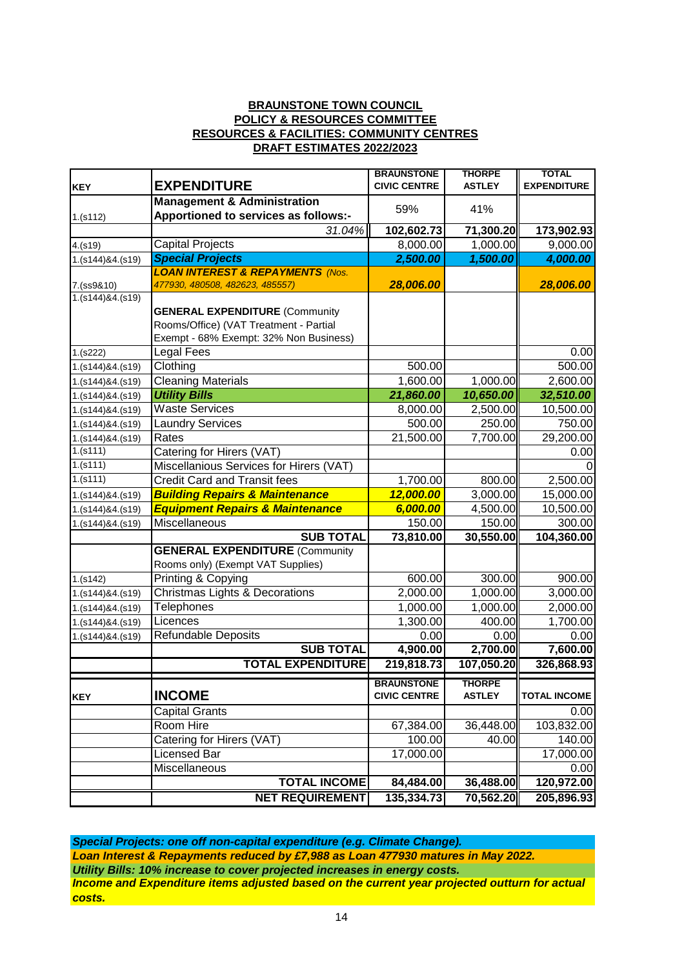#### **BRAUNSTONE TOWN COUNCIL POLICY & RESOURCES COMMITTEE RESOURCES & FACILITIES: COMMUNITY CENTRES DRAFT ESTIMATES 2022/2023**

|                              |                                                                                | <b>BRAUNSTONE</b>   | <b>THORPE</b> | <b>TOTAL</b>        |
|------------------------------|--------------------------------------------------------------------------------|---------------------|---------------|---------------------|
| <b>KEY</b>                   | <b>EXPENDITURE</b>                                                             | <b>CIVIC CENTRE</b> | <b>ASTLEY</b> | <b>EXPENDITURE</b>  |
|                              | <b>Management &amp; Administration</b>                                         | 59%                 | 41%           |                     |
| 1.(s112)                     | Apportioned to services as follows:-                                           |                     |               |                     |
|                              | $31.04\%$                                                                      | 102,602.73          | 71,300.20     | 173,902.93          |
| 4.(s19)                      | <b>Capital Projects</b>                                                        | 8,000.00            | 1,000.00      | 9,000.00            |
| 1.(s144)84.(s19)             | <b>Special Projects</b>                                                        | 2,500.00            | 1,500.00      | 4,000.00            |
| 7.(ss9&10)                   | <b>LOAN INTEREST &amp; REPAYMENTS (Nos.</b><br>477930, 480508, 482623, 485557) | 28,006.00           |               | 28,006.00           |
| 1.(s144)84.(s19)             |                                                                                |                     |               |                     |
|                              | <b>GENERAL EXPENDITURE (Community</b>                                          |                     |               |                     |
|                              | Rooms/Office) (VAT Treatment - Partial                                         |                     |               |                     |
|                              | Exempt - 68% Exempt: 32% Non Business)                                         |                     |               |                     |
| 1.(s222)                     | <b>Legal Fees</b>                                                              |                     |               | 0.00                |
| 1.(s144)&4.(s19)             | Clothing                                                                       | 500.00              |               | 500.00              |
| 1.(s144)&4.(s19)             | <b>Cleaning Materials</b>                                                      | 1,600.00            | 1,000.00      | 2,600.00            |
| 1.(s144)&4.(s19)             | <b>Utility Bills</b>                                                           | 21,860.00           | 10,650.00     | 32,510.00           |
| 1.(s144)&4.(s19)             | <b>Waste Services</b>                                                          | 8,000.00            | 2,500.00      | 10,500.00           |
| 1.(s144)&4.(s19)             | <b>Laundry Services</b>                                                        | 500.00              | 250.00        | 750.00              |
| 1.(s144)&4.(s19)             | Rates                                                                          | 21,500.00           | 7,700.00      | 29,200.00           |
| $1.\overline{\text{(s111)}}$ | Catering for Hirers (VAT)                                                      |                     |               | 0.00                |
| 1.(s111)                     | Miscellanious Services for Hirers (VAT)                                        |                     |               |                     |
| 1.(s111)                     | <b>Credit Card and Transit fees</b>                                            | 1,700.00            | 800.00        | 2,500.00            |
| 1.(s144)&4.(s19)             | <b>Building Repairs &amp; Maintenance</b>                                      | 12,000.00           | 3,000.00      | 15,000.00           |
| 1.(s144)&4.(s19)             | <b>Equipment Repairs &amp; Maintenance</b>                                     | 6,000.00            | 4,500.00      | 10,500.00           |
| 1.(s144)&4.(s19)             | Miscellaneous                                                                  | 150.00              | 150.00        | 300.00              |
|                              | <b>SUB TOTAL</b>                                                               | 73,810.00           | 30,550.00     | 104,360.00          |
|                              | <b>GENERAL EXPENDITURE (Community</b>                                          |                     |               |                     |
|                              | Rooms only) (Exempt VAT Supplies)                                              |                     |               |                     |
| 1.(s142)                     | Printing & Copying                                                             | 600.00              | 300.00        | 900.00              |
| 1.(s144)&4.(s19)             | Christmas Lights & Decorations                                                 | 2,000.00            | 1,000.00      | 3,000.00            |
| 1.(s144)&4.(s19)             | Telephones                                                                     | 1,000.00            | 1,000.00      | 2,000.00            |
| 1.(s144)&4.(s19)             | Licences                                                                       | 1,300.00            | 400.00        | 1,700.00            |
| 1.(s144)&4.(s19)             | Refundable Deposits                                                            | 0.00                | 0.00          | 0.00                |
|                              | <b>SUB TOTAL</b>                                                               | 4,900.00            | 2,700.00      | 7,600.00            |
|                              | <b>TOTAL EXPENDITURE</b>                                                       | 219,818.73          | 107,050.20    | 326,868.93          |
|                              |                                                                                | <b>BRAUNSTONE</b>   | THORPE        |                     |
| <b>KEY</b>                   | <b>INCOME</b>                                                                  | <b>CIVIC CENTRE</b> | <b>ASTLEY</b> | <b>TOTAL INCOME</b> |
|                              | Capital Grants                                                                 |                     |               | 0.00                |
|                              | Room Hire                                                                      | 67,384.00           | 36,448.00     | 103,832.00          |
|                              | Catering for Hirers (VAT)                                                      | 100.00              | 40.00         | 140.00              |
|                              | Licensed Bar                                                                   | 17,000.00           |               | 17,000.00           |
|                              | Miscellaneous                                                                  |                     |               | 0.00                |
|                              | <b>TOTAL INCOME</b>                                                            | 84,484.00           | 36,488.00     | 120,972.00          |
|                              | <b>NET REQUIREMENT</b>                                                         | 135,334.73          | 70,562.20     | 205,896.93          |

*Special Projects: one off non-capital expenditure (e.g. Climate Change). Utility Bills: 10% increase to cover projected increases in energy costs. Loan Interest & Repayments reduced by £7,988 as Loan 477930 matures in May 2022. Income and Expenditure items adjusted based on the current year projected outturn for actual costs.*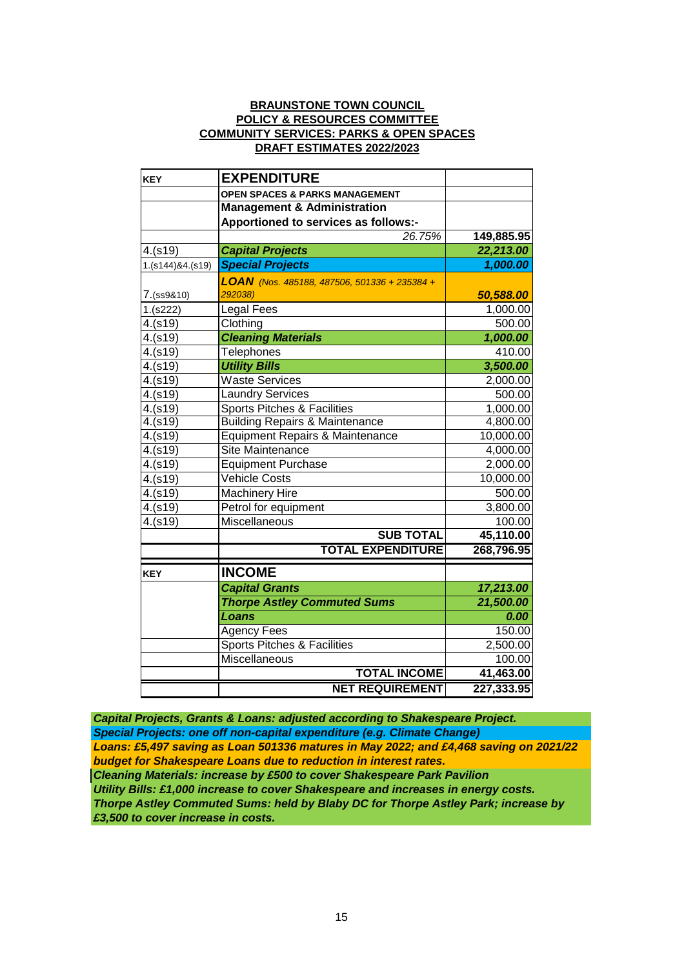#### **BRAUNSTONE TOWN COUNCIL POLICY & RESOURCES COMMITTEE COMMUNITY SERVICES: PARKS & OPEN SPACES DRAFT ESTIMATES 2022/2023**

| <b>KEY</b>       | <b>EXPENDITURE</b>                           |            |
|------------------|----------------------------------------------|------------|
|                  | <b>OPEN SPACES &amp; PARKS MANAGEMENT</b>    |            |
|                  | <b>Management &amp; Administration</b>       |            |
|                  | Apportioned to services as follows:-         |            |
|                  | 26.75%                                       | 149,885.95 |
| 4.(s19)          | <b>Capital Projects</b>                      | 22,213.00  |
| 1.(s144)&4.(s19) | <b>Special Projects</b>                      | 1,000.00   |
|                  | LOAN (Nos. 485188, 487506, 501336 + 235384 + |            |
| 7.(ss9&10)       | 292038)                                      | 50,588.00  |
| 1.(s222)         | Legal Fees                                   | 1,000.00   |
| 4.(s19)          | Clothing                                     | 500.00     |
| 4.(s19)          | <b>Cleaning Materials</b>                    | 1,000.00   |
| 4.(s19)          | <b>Telephones</b>                            | 410.00     |
| 4.(s19)          | <b>Utility Bills</b>                         | 3,500.00   |
| 4.(s19)          | <b>Waste Services</b>                        | 2,000.00   |
| 4.(s19)          | <b>Laundry Services</b>                      | 500.00     |
| 4.(s19)          | Sports Pitches & Facilities                  | 1,000.00   |
| 4.(s19)          | <b>Building Repairs &amp; Maintenance</b>    | 4,800.00   |
| 4.(s19)          | Equipment Repairs & Maintenance              | 10,000.00  |
| 4.(s19)          | Site Maintenance                             | 4,000.00   |
| 4.(s19)          | <b>Equipment Purchase</b>                    | 2,000.00   |
| 4.(s19)          | <b>Vehicle Costs</b>                         | 10,000.00  |
| 4.(s19)          | <b>Machinery Hire</b>                        | 500.00     |
| 4.(s19)          | Petrol for equipment                         | 3,800.00   |
| 4.(s19)          | <b>Miscellaneous</b>                         | 100.00     |
|                  | <b>SUB TOTAL</b>                             | 45,110.00  |
|                  | <b>TOTAL EXPENDITURE</b>                     | 268,796.95 |
| <b>KEY</b>       | <b>INCOME</b>                                |            |
|                  | <b>Capital Grants</b>                        | 17,213.00  |
|                  | <b>Thorpe Astley Commuted Sums</b>           | 21,500.00  |
|                  | Loans                                        | 0.00       |
|                  | Agency Fees                                  | 150.00     |
|                  | Sports Pitches & Facilities                  | 2,500.00   |
|                  | Miscellaneous                                | 100.00     |
|                  | <b>TOTAL INCOME</b>                          | 41,463.00  |
|                  | <b>NET REQUIREMENT</b>                       | 227,333.95 |

*Cleaning Materials: increase by £500 to cover Shakespeare Park Pavilion Thorpe Astley Commuted Sums: held by Blaby DC for Thorpe Astley Park; increase by £3,500 to cover increase in costs. Special Projects: one off non-capital expenditure (e.g. Climate Change) Utility Bills: £1,000 increase to cover Shakespeare and increases in energy costs. Loans: £5,497 saving as Loan 501336 matures in May 2022; and £4,468 saving on 2021/22 budget for Shakespeare Loans due to reduction in interest rates. Capital Projects, Grants & Loans: adjusted according to Shakespeare Project.*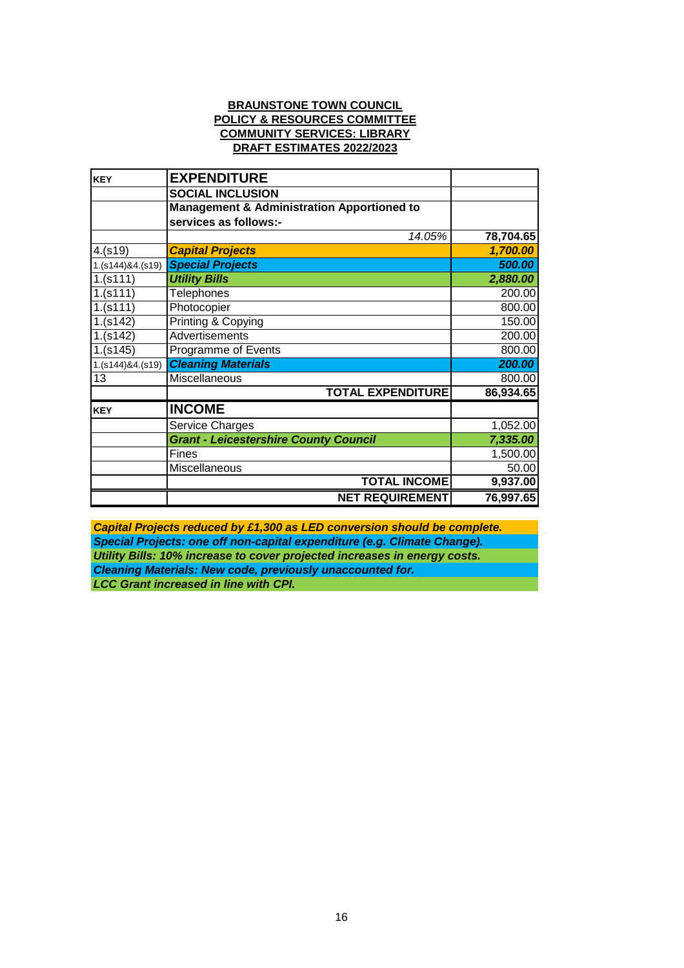#### **BRAUNSTONE TOWN COUNCIL POLICY & RESOURCES COMMITTEE COMMUNITY SERVICES: LIBRARY DRAFT ESTIMATES 2022/2023**

| <b>KEY</b>       | <b>EXPENDITURE</b>                                    |           |
|------------------|-------------------------------------------------------|-----------|
|                  | <b>SOCIAL INCLUSION</b>                               |           |
|                  | <b>Management &amp; Administration Apportioned to</b> |           |
|                  | services as follows:-                                 |           |
|                  | 14.05%                                                | 78,704.65 |
| 4.(s19)          | <b>Capital Projects</b>                               | 1,700.00  |
| 1.(s144)84.(s19) | <b>Special Projects</b>                               | 500.00    |
| 1.(s111)         | <b>Utility Bills</b>                                  | 2,880.00  |
| 1.(s111)         | <b>Telephones</b>                                     | 200.00    |
| 1.(s111)         | Photocopier                                           | 800.00    |
| 1.(s142)         | Printing & Copying                                    | 150.00    |
| 1.(s142)         | Advertisements                                        | 200.00    |
| 1.(s145)         | Programme of Events                                   | 800.00    |
| 1.(s144)84.(s19) | <b>Cleaning Materials</b>                             | 200.00    |
| 13               | Miscellaneous                                         | 800.00    |
|                  | <b>TOTAL EXPENDITURE</b>                              | 86,934.65 |
| <b>KEY</b>       | <b>INCOME</b>                                         |           |
|                  | Service Charges                                       | 1,052.00  |
|                  | <b>Grant - Leicestershire County Council</b>          | 7,335.00  |
|                  | Fines                                                 | 1,500.00  |
|                  | Miscellaneous                                         | 50.00     |
|                  | <b>TOTAL INCOME</b>                                   | 9,937.00  |
|                  | <b>NET REQUIREMENT</b>                                | 76,997.65 |

*Cleaning Materials: New code, previously unaccounted for. Utility Bills: 10% increase to cover projected increases in energy costs. Capital Projects reduced by £1,300 as LED conversion should be complete. LCC Grant increased in line with CPI. Special Projects: one off non-capital expenditure (e.g. Climate Change).*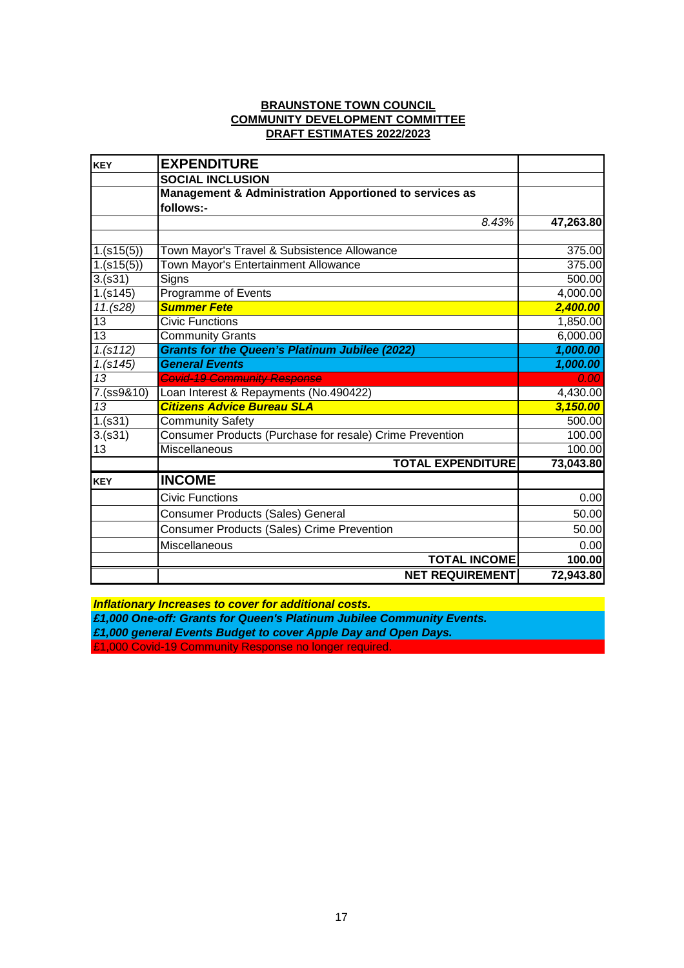### **BRAUNSTONE TOWN COUNCIL COMMUNITY DEVELOPMENT COMMITTEE DRAFT ESTIMATES 2022/2023**

| <b>KEY</b>      | <b>EXPENDITURE</b>                                       |           |
|-----------------|----------------------------------------------------------|-----------|
|                 | <b>SOCIAL INCLUSION</b>                                  |           |
|                 | Management & Administration Apportioned to services as   |           |
|                 | follows:-                                                |           |
|                 | 8.43%                                                    | 47,263.80 |
|                 |                                                          |           |
| 1.(s15(5))      | Town Mayor's Travel & Subsistence Allowance              | 375.00    |
| 1.(s15(5))      | Town Mayor's Entertainment Allowance                     | 375.00    |
| 3.(s31)         | Signs                                                    | 500.00    |
| 1.(s145)        | Programme of Events                                      | 4,000.00  |
| 11.(s28)        | <b>Summer Fete</b>                                       | 2,400.00  |
| 13              | <b>Civic Functions</b>                                   | 1,850.00  |
| $\overline{13}$ | <b>Community Grants</b>                                  | 6,000.00  |
| 1.(s112)        | <b>Grants for the Queen's Platinum Jubilee (2022)</b>    | 1,000.00  |
| 1. (s145)       | <b>General Events</b>                                    | 1,000.00  |
| 13              | Covid-19 Community Response                              | 0.00      |
| 7.(ss9&10)      | Loan Interest & Repayments (No.490422)                   | 4,430.00  |
| 13              | <b>Citizens Advice Bureau SLA</b>                        | 3,150.00  |
| 1.(s31)         | <b>Community Safety</b>                                  | 500.00    |
| 3.(s31)         | Consumer Products (Purchase for resale) Crime Prevention | 100.00    |
| 13              | Miscellaneous                                            | 100.00    |
|                 | <b>TOTAL EXPENDITURE</b>                                 | 73,043.80 |
| KEY             | <b>INCOME</b>                                            |           |
|                 | <b>Civic Functions</b>                                   | 0.00      |
|                 | Consumer Products (Sales) General                        | 50.00     |
|                 | <b>Consumer Products (Sales) Crime Prevention</b>        | 50.00     |
|                 | Miscellaneous                                            | 0.00      |
|                 | <b>TOTAL INCOME</b>                                      | 100.00    |
|                 | <b>NET REQUIREMENT</b>                                   | 72,943.80 |

*Inflationary Increases to cover for additional costs.*

*£1,000 One-off: Grants for Queen's Platinum Jubilee Community Events.*

*£1,000 general Events Budget to cover Apple Day and Open Days.* 

£1,000 Covid-19 Community Response no longer required.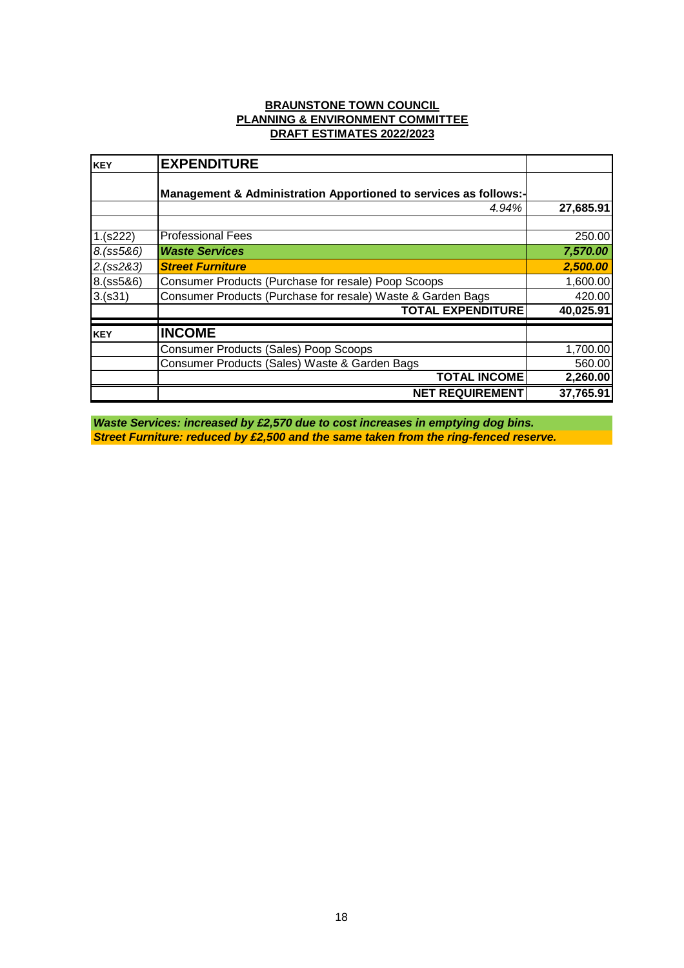#### **BRAUNSTONE TOWN COUNCIL PLANNING & ENVIRONMENT COMMITTEE DRAFT ESTIMATES 2022/2023**

| KEY        | <b>EXPENDITURE</b>                                               |           |
|------------|------------------------------------------------------------------|-----------|
|            | Management & Administration Apportioned to services as follows:- |           |
|            | 4.94%                                                            | 27,685.91 |
| 1.(s222)   | <b>Professional Fees</b>                                         | 250.00    |
| 8.(ss5&6)  | <b>Waste Services</b>                                            | 7,570.00  |
| 2.(ss2&3)  | <b>Street Furniture</b>                                          | 2,500.00  |
| 8.(ss5&6)  | Consumer Products (Purchase for resale) Poop Scoops              | 1,600.00  |
| 3.(s31)    | Consumer Products (Purchase for resale) Waste & Garden Bags      | 420.00    |
|            | <b>TOTAL EXPENDITURE</b>                                         | 40,025.91 |
| <b>KEY</b> | <b>INCOME</b>                                                    |           |
|            | <b>Consumer Products (Sales) Poop Scoops</b>                     | 1,700.00  |
|            | Consumer Products (Sales) Waste & Garden Bags                    | 560.00    |
|            | <b>TOTAL INCOME</b>                                              | 2,260.00  |
|            | <b>NET REQUIREMENT</b>                                           | 37,765.91 |

*Street Furniture: reduced by £2,500 and the same taken from the ring-fenced reserve. Waste Services: increased by £2,570 due to cost increases in emptying dog bins.*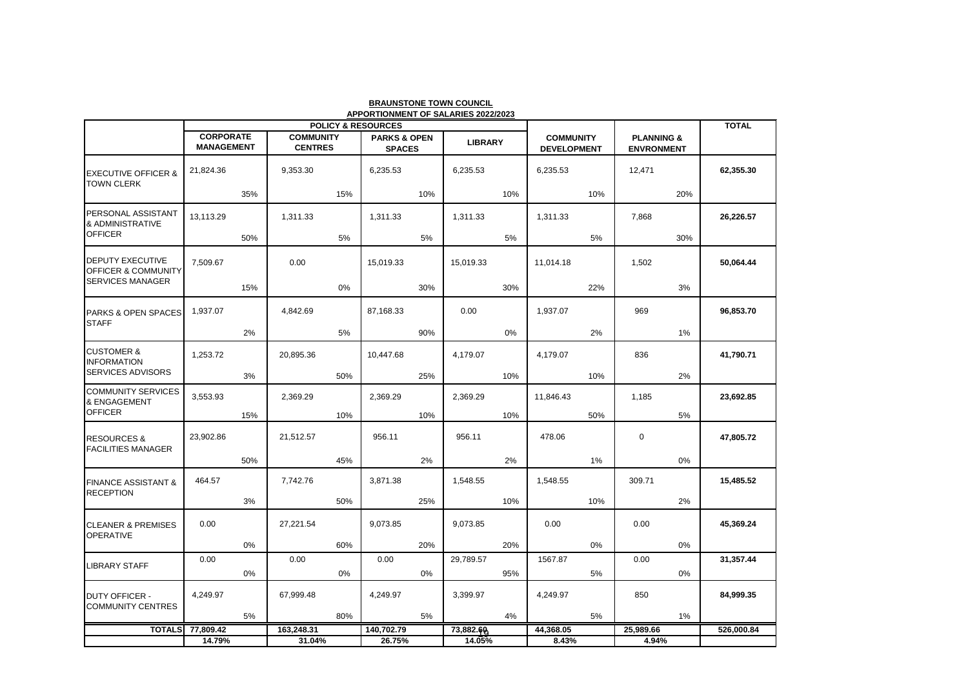|                                                           |                                       |       |                                    |     |                                          |       | APPORTIONMENT OF SALARIES 2022/2023 |     |                                        |     |                                            |       |              |
|-----------------------------------------------------------|---------------------------------------|-------|------------------------------------|-----|------------------------------------------|-------|-------------------------------------|-----|----------------------------------------|-----|--------------------------------------------|-------|--------------|
|                                                           |                                       |       |                                    |     | <b>POLICY &amp; RESOURCES</b>            |       |                                     |     |                                        |     |                                            |       | <b>TOTAL</b> |
|                                                           | <b>CORPORATE</b><br><b>MANAGEMENT</b> |       | <b>COMMUNITY</b><br><b>CENTRES</b> |     | <b>PARKS &amp; OPEN</b><br><b>SPACES</b> |       | <b>LIBRARY</b>                      |     | <b>COMMUNITY</b><br><b>DEVELOPMENT</b> |     | <b>PLANNING &amp;</b><br><b>ENVRONMENT</b> |       |              |
| <b>EXECUTIVE OFFICER &amp;</b>                            | 21,824.36                             |       | 9,353.30                           |     | 6,235.53                                 |       | 6,235.53                            |     | 6,235.53                               |     | 12,471                                     |       | 62,355.30    |
| <b>TOWN CLERK</b>                                         |                                       | 35%   |                                    | 15% |                                          | 10%   |                                     | 10% |                                        | 10% |                                            | 20%   |              |
| PERSONAL ASSISTANT<br>& ADMINISTRATIVE                    | 13,113.29                             |       | 1,311.33                           |     | 1,311.33                                 |       | 1,311.33                            |     | 1,311.33                               |     | 7,868                                      |       | 26,226.57    |
| <b>OFFICER</b>                                            |                                       | 50%   |                                    | 5%  |                                          | 5%    |                                     | 5%  |                                        | 5%  |                                            | 30%   |              |
| <b>DEPUTY EXECUTIVE</b><br><b>OFFICER &amp; COMMUNITY</b> | 7,509.67                              |       | 0.00                               |     | 15,019.33                                |       | 15,019.33                           |     | 11,014.18                              |     | 1,502                                      |       | 50,064.44    |
| <b>SERVICES MANAGER</b>                                   |                                       | 15%   |                                    | 0%  |                                          | 30%   |                                     | 30% |                                        | 22% |                                            | 3%    |              |
| <b>PARKS &amp; OPEN SPACES</b><br><b>STAFF</b>            | 1,937.07                              |       | 4,842.69                           |     | 87,168.33                                |       | 0.00                                |     | 1,937.07                               |     | 969                                        |       | 96,853.70    |
|                                                           |                                       | 2%    |                                    | 5%  |                                          | 90%   |                                     | 0%  |                                        | 2%  |                                            | $1\%$ |              |
| <b>CUSTOMER &amp;</b><br><b>INFORMATION</b>               | 1,253.72                              |       | 20,895.36                          |     | 10,447.68                                |       | 4,179.07                            |     | 4,179.07                               |     | 836                                        |       | 41,790.71    |
| SERVICES ADVISORS                                         |                                       | 3%    |                                    | 50% |                                          | 25%   |                                     | 10% |                                        | 10% |                                            | 2%    |              |
| <b>COMMUNITY SERVICES</b><br>& ENGAGEMENT                 | 3,553.93                              |       | 2,369.29                           |     | 2,369.29                                 |       | 2,369.29                            |     | 11,846.43                              |     | 1,185                                      |       | 23,692.85    |
| <b>OFFICER</b>                                            |                                       | 15%   |                                    | 10% |                                          | 10%   |                                     | 10% |                                        | 50% |                                            | $5\%$ |              |
| <b>RESOURCES &amp;</b><br><b>FACILITIES MANAGER</b>       | 23,902.86                             |       | 21,512.57                          |     | 956.11                                   |       | 956.11                              |     | 478.06                                 |     | 0                                          |       | 47,805.72    |
|                                                           |                                       | 50%   |                                    | 45% |                                          | 2%    |                                     | 2%  |                                        | 1%  |                                            | $0\%$ |              |
| <b>FINANCE ASSISTANT &amp;</b><br><b>RECEPTION</b>        | 464.57                                |       | 7,742.76                           |     | 3,871.38                                 |       | 1,548.55                            |     | 1,548.55                               |     | 309.71                                     |       | 15,485.52    |
|                                                           |                                       | 3%    |                                    | 50% |                                          | 25%   |                                     | 10% |                                        | 10% |                                            | 2%    |              |
| <b>CLEANER &amp; PREMISES</b><br><b>OPERATIVE</b>         | 0.00                                  |       | 27,221.54                          |     | 9,073.85                                 |       | 9,073.85                            |     | 0.00                                   |     | 0.00                                       |       | 45,369.24    |
|                                                           |                                       | $0\%$ |                                    | 60% |                                          | 20%   |                                     | 20% |                                        | 0%  |                                            | 0%    |              |
| <b>LIBRARY STAFF</b>                                      | 0.00                                  |       | 0.00                               |     | 0.00                                     |       | 29,789.57                           |     | 1567.87                                |     | 0.00                                       |       | 31,357.44    |
|                                                           |                                       | 0%    |                                    | 0%  |                                          | $0\%$ |                                     | 95% |                                        | 5%  |                                            | 0%    |              |
| <b>DUTY OFFICER -</b><br><b>COMMUNITY CENTRES</b>         | 4,249.97                              |       | 67,999.48                          |     | 4,249.97                                 |       | 3,399.97                            |     | 4,249.97                               |     | 850                                        |       | 84,999.35    |
|                                                           |                                       | 5%    |                                    | 80% |                                          | 5%    |                                     | 4%  |                                        | 5%  |                                            | $1\%$ |              |
|                                                           | <b>TOTALS</b> 77,809.42<br>14.79%     |       | 163,248.31<br>31.04%               |     | 140,702.79<br>26.75%                     |       | 73,882.60<br>14.05%                 |     | 44,368.05<br>8.43%                     |     | 25,989.66<br>4.94%                         |       | 526,000.84   |
|                                                           |                                       |       |                                    |     |                                          |       |                                     |     |                                        |     |                                            |       |              |

**BRAUNSTONE TOWN COUNCIL**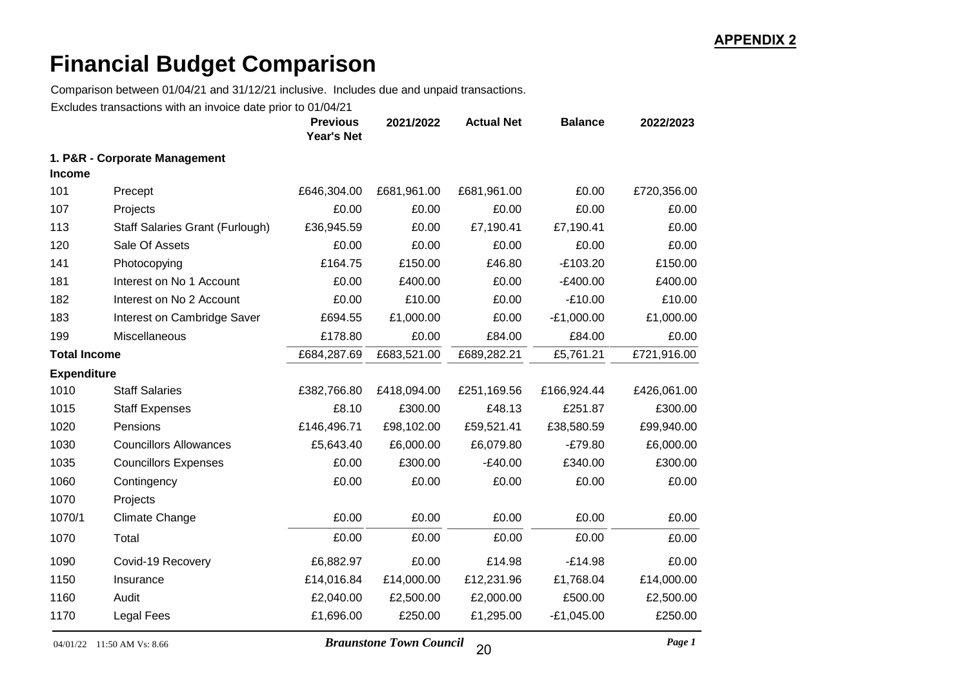Comparison between 01/04/21 and 31/12/21 inclusive. Includes due and unpaid transactions.

Excludes transactions with an invoice date prior to 01/04/21

|                     |                                 | <b>Previous</b><br><b>Year's Net</b> | 2021/2022   | <b>Actual Net</b> | <b>Balance</b> | 2022/2023   |
|---------------------|---------------------------------|--------------------------------------|-------------|-------------------|----------------|-------------|
|                     | 1. P&R - Corporate Management   |                                      |             |                   |                |             |
| <b>Income</b>       |                                 |                                      |             |                   |                |             |
| 101                 | Precept                         | £646,304.00                          | £681,961.00 | £681,961.00       | £0.00          | £720,356.00 |
| 107                 | Projects                        | £0.00                                | £0.00       | £0.00             | £0.00          | £0.00       |
| 113                 | Staff Salaries Grant (Furlough) | £36,945.59                           | £0.00       | £7,190.41         | £7,190.41      | £0.00       |
| 120                 | Sale Of Assets                  | £0.00                                | £0.00       | £0.00             | £0.00          | £0.00       |
| 141                 | Photocopying                    | £164.75                              | £150.00     | £46.80            | $-E103.20$     | £150.00     |
| 181                 | Interest on No 1 Account        | £0.00                                | £400.00     | £0.00             | $-E400.00$     | £400.00     |
| 182                 | Interest on No 2 Account        | £0.00                                | £10.00      | £0.00             | $-E10.00$      | £10.00      |
| 183                 | Interest on Cambridge Saver     | £694.55                              | £1,000.00   | £0.00             | $-E1,000.00$   | £1,000.00   |
| 199                 | Miscellaneous                   | £178.80                              | £0.00       | £84.00            | £84.00         | £0.00       |
| <b>Total Income</b> |                                 | £684,287.69                          | £683,521.00 | £689,282.21       | £5,761.21      | £721,916.00 |
| <b>Expenditure</b>  |                                 |                                      |             |                   |                |             |
| 1010                | <b>Staff Salaries</b>           | £382,766.80                          | £418,094.00 | £251,169.56       | £166,924.44    | £426,061.00 |
| 1015                | <b>Staff Expenses</b>           | £8.10                                | £300.00     | £48.13            | £251.87        | £300.00     |
| 1020                | Pensions                        | £146,496.71                          | £98,102.00  | £59,521.41        | £38,580.59     | £99,940.00  |
| 1030                | <b>Councillors Allowances</b>   | £5,643.40                            | £6,000.00   | £6,079.80         | $-E79.80$      | £6,000.00   |
| 1035                | <b>Councillors Expenses</b>     | £0.00                                | £300.00     | $-E40.00$         | £340.00        | £300.00     |
| 1060                | Contingency                     | £0.00                                | £0.00       | £0.00             | £0.00          | £0.00       |
| 1070                | Projects                        |                                      |             |                   |                |             |
| 1070/1              | <b>Climate Change</b>           | £0.00                                | £0.00       | £0.00             | £0.00          | £0.00       |
| 1070                | Total                           | £0.00                                | £0.00       | £0.00             | £0.00          | £0.00       |
| 1090                | Covid-19 Recovery               | £6,882.97                            | £0.00       | £14.98            | $-E14.98$      | £0.00       |
| 1150                | Insurance                       | £14,016.84                           | £14,000.00  | £12,231.96        | £1,768.04      | £14,000.00  |
| 1160                | Audit                           | £2,040.00                            | £2,500.00   | £2,000.00         | £500.00        | £2,500.00   |
| 1170                | Legal Fees                      | £1,696.00                            | £250.00     | £1,295.00         | $-£1,045.00$   | £250.00     |

04/01/22 11:50 AM Vs: 8.66 *Braunstone Town Council Page 1*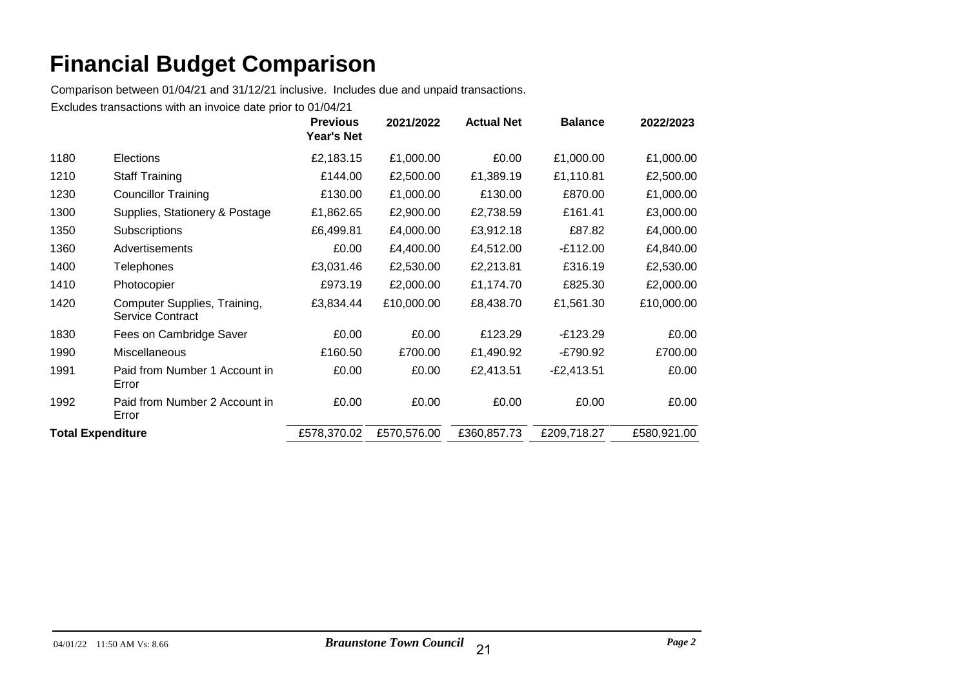Comparison between 01/04/21 and 31/12/21 inclusive. Includes due and unpaid transactions.

|                          |                                                  | <b>Previous</b><br><b>Year's Net</b> | 2021/2022   | <b>Actual Net</b> | <b>Balance</b> | 2022/2023   |
|--------------------------|--------------------------------------------------|--------------------------------------|-------------|-------------------|----------------|-------------|
| 1180                     | <b>Elections</b>                                 | £2,183.15                            | £1,000.00   | £0.00             | £1,000.00      | £1,000.00   |
| 1210                     | <b>Staff Training</b>                            | £144.00                              | £2,500.00   | £1,389.19         | £1,110.81      | £2,500.00   |
| 1230                     | <b>Councillor Training</b>                       | £130.00                              | £1,000.00   | £130.00           | £870.00        | £1,000.00   |
| 1300                     | Supplies, Stationery & Postage                   | £1,862.65                            | £2,900.00   | £2,738.59         | £161.41        | £3,000.00   |
| 1350                     | Subscriptions                                    | £6,499.81                            | £4,000.00   | £3,912.18         | £87.82         | £4,000.00   |
| 1360                     | Advertisements                                   | £0.00                                | £4,400.00   | £4,512.00         | $-E112.00$     | £4,840.00   |
| 1400                     | <b>Telephones</b>                                | £3,031.46                            | £2,530.00   | £2,213.81         | £316.19        | £2,530.00   |
| 1410                     | Photocopier                                      | £973.19                              | £2,000.00   | £1,174.70         | £825.30        | £2,000.00   |
| 1420                     | Computer Supplies, Training,<br>Service Contract | £3,834.44                            | £10,000.00  | £8,438.70         | £1,561.30      | £10,000.00  |
| 1830                     | Fees on Cambridge Saver                          | £0.00                                | £0.00       | £123.29           | $-E123.29$     | £0.00       |
| 1990                     | <b>Miscellaneous</b>                             | £160.50                              | £700.00     | £1,490.92         | -£790.92       | £700.00     |
| 1991                     | Paid from Number 1 Account in<br>Error           | £0.00                                | £0.00       | £2,413.51         | $-E2,413.51$   | £0.00       |
| 1992                     | Paid from Number 2 Account in<br>Error           | £0.00                                | £0.00       | £0.00             | £0.00          | £0.00       |
| <b>Total Expenditure</b> |                                                  | £578,370.02                          | £570,576.00 | £360,857.73       | £209,718.27    | £580,921.00 |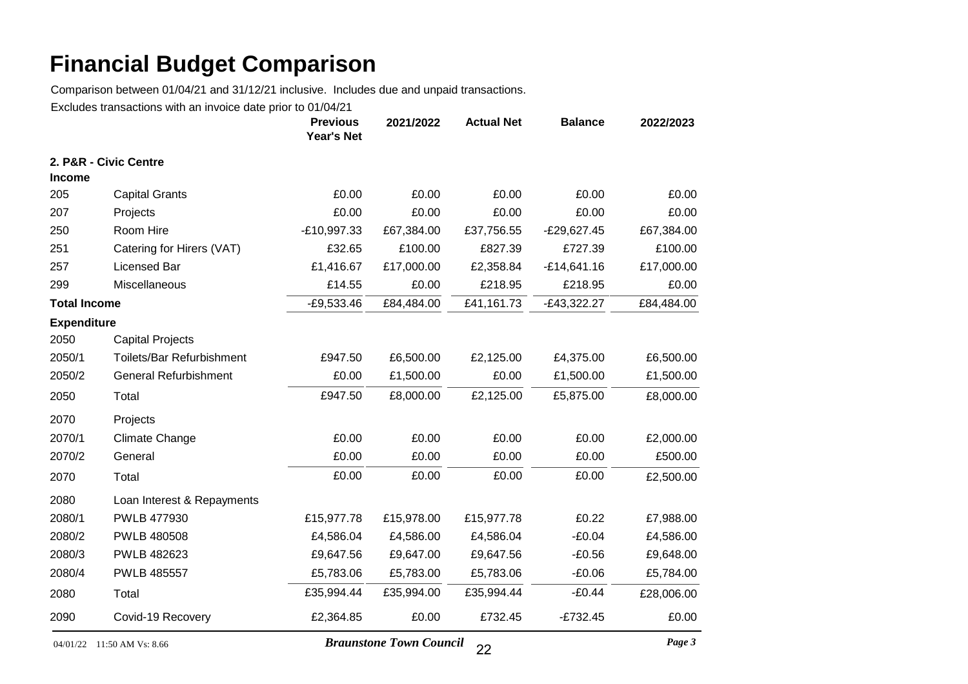Comparison between 01/04/21 and 31/12/21 inclusive. Includes due and unpaid transactions.

Excludes transactions with an invoice date prior to 01/04/21

|                     |                              | <b>Previous</b><br><b>Year's Net</b> | 2021/2022  | <b>Actual Net</b> | <b>Balance</b> | 2022/2023  |
|---------------------|------------------------------|--------------------------------------|------------|-------------------|----------------|------------|
|                     | 2. P&R - Civic Centre        |                                      |            |                   |                |            |
| <b>Income</b>       |                              |                                      |            |                   |                |            |
| 205                 | <b>Capital Grants</b>        | £0.00                                | £0.00      | £0.00             | £0.00          | £0.00      |
| 207                 | Projects                     | £0.00                                | £0.00      | £0.00             | £0.00          | £0.00      |
| 250                 | Room Hire                    | $-E10,997.33$                        | £67,384.00 | £37,756.55        | $-E29,627.45$  | £67,384.00 |
| 251                 | Catering for Hirers (VAT)    | £32.65                               | £100.00    | £827.39           | £727.39        | £100.00    |
| 257                 | Licensed Bar                 | £1,416.67                            | £17,000.00 | £2,358.84         | $-£14,641.16$  | £17,000.00 |
| 299                 | Miscellaneous                | £14.55                               | £0.00      | £218.95           | £218.95        | £0.00      |
| <b>Total Income</b> |                              | $-£9,533.46$                         | £84,484.00 | £41,161.73        | $-E43,322.27$  | £84,484.00 |
| <b>Expenditure</b>  |                              |                                      |            |                   |                |            |
| 2050                | <b>Capital Projects</b>      |                                      |            |                   |                |            |
| 2050/1              | Toilets/Bar Refurbishment    | £947.50                              | £6,500.00  | £2,125.00         | £4,375.00      | £6,500.00  |
| 2050/2              | <b>General Refurbishment</b> | £0.00                                | £1,500.00  | £0.00             | £1,500.00      | £1,500.00  |
| 2050                | Total                        | £947.50                              | £8,000.00  | £2,125.00         | £5,875.00      | £8,000.00  |
| 2070                | Projects                     |                                      |            |                   |                |            |
| 2070/1              | <b>Climate Change</b>        | £0.00                                | £0.00      | £0.00             | £0.00          | £2,000.00  |
| 2070/2              | General                      | £0.00                                | £0.00      | £0.00             | £0.00          | £500.00    |
| 2070                | Total                        | £0.00                                | £0.00      | £0.00             | £0.00          | £2,500.00  |
| 2080                | Loan Interest & Repayments   |                                      |            |                   |                |            |
| 2080/1              | PWLB 477930                  | £15,977.78                           | £15,978.00 | £15,977.78        | £0.22          | £7,988.00  |
| 2080/2              | <b>PWLB 480508</b>           | £4,586.04                            | £4,586.00  | £4,586.04         | $-£0.04$       | £4,586.00  |
| 2080/3              | PWLB 482623                  | £9,647.56                            | £9,647.00  | £9,647.56         | $-£0.56$       | £9,648.00  |
| 2080/4              | <b>PWLB 485557</b>           | £5,783.06                            | £5,783.00  | £5,783.06         | $-£0.06$       | £5,784.00  |
| 2080                | Total                        | £35,994.44                           | £35,994.00 | £35,994.44        | $-£0.44$       | £28,006.00 |
| 2090                | Covid-19 Recovery            | £2,364.85                            | £0.00      | £732.45           | $-£732.45$     | £0.00      |

04/01/22 11:50 AM Vs: 8.66 *Braunstone Town Council Page 3* 22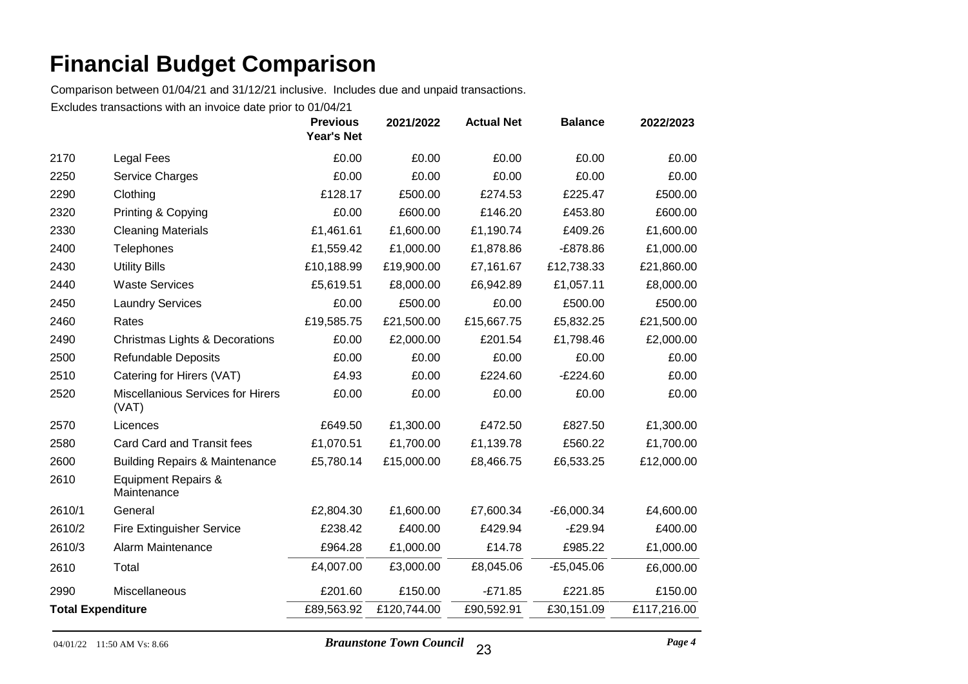Comparison between 01/04/21 and 31/12/21 inclusive. Includes due and unpaid transactions.

|                          |                                                   | <b>Previous</b><br><b>Year's Net</b> | 2021/2022   | <b>Actual Net</b> | <b>Balance</b> | 2022/2023   |
|--------------------------|---------------------------------------------------|--------------------------------------|-------------|-------------------|----------------|-------------|
| 2170                     | Legal Fees                                        | £0.00                                | £0.00       | £0.00             | £0.00          | £0.00       |
| 2250                     | Service Charges                                   | £0.00                                | £0.00       | £0.00             | £0.00          | £0.00       |
| 2290                     | Clothing                                          | £128.17                              | £500.00     | £274.53           | £225.47        | £500.00     |
| 2320                     | Printing & Copying                                | £0.00                                | £600.00     | £146.20           | £453.80        | £600.00     |
| 2330                     | <b>Cleaning Materials</b>                         | £1,461.61                            | £1,600.00   | £1,190.74         | £409.26        | £1,600.00   |
| 2400                     | Telephones                                        | £1,559.42                            | £1,000.00   | £1,878.86         | $-E878.86$     | £1,000.00   |
| 2430                     | <b>Utility Bills</b>                              | £10,188.99                           | £19,900.00  | £7,161.67         | £12,738.33     | £21,860.00  |
| 2440                     | <b>Waste Services</b>                             | £5,619.51                            | £8,000.00   | £6,942.89         | £1,057.11      | £8,000.00   |
| 2450                     | <b>Laundry Services</b>                           | £0.00                                | £500.00     | £0.00             | £500.00        | £500.00     |
| 2460                     | Rates                                             | £19,585.75                           | £21,500.00  | £15,667.75        | £5,832.25      | £21,500.00  |
| 2490                     | <b>Christmas Lights &amp; Decorations</b>         | £0.00                                | £2,000.00   | £201.54           | £1,798.46      | £2,000.00   |
| 2500                     | <b>Refundable Deposits</b>                        | £0.00                                | £0.00       | £0.00             | £0.00          | £0.00       |
| 2510                     | Catering for Hirers (VAT)                         | £4.93                                | £0.00       | £224.60           | $-E224.60$     | £0.00       |
| 2520                     | <b>Miscellanious Services for Hirers</b><br>(VAT) | £0.00                                | £0.00       | £0.00             | £0.00          | £0.00       |
| 2570                     | Licences                                          | £649.50                              | £1,300.00   | £472.50           | £827.50        | £1,300.00   |
| 2580                     | Card Card and Transit fees                        | £1,070.51                            | £1,700.00   | £1,139.78         | £560.22        | £1,700.00   |
| 2600                     | <b>Building Repairs &amp; Maintenance</b>         | £5,780.14                            | £15,000.00  | £8,466.75         | £6,533.25      | £12,000.00  |
| 2610                     | Equipment Repairs &<br>Maintenance                |                                      |             |                   |                |             |
| 2610/1                   | General                                           | £2,804.30                            | £1,600.00   | £7,600.34         | $-E6,000.34$   | £4,600.00   |
| 2610/2                   | <b>Fire Extinguisher Service</b>                  | £238.42                              | £400.00     | £429.94           | $-E29.94$      | £400.00     |
| 2610/3                   | Alarm Maintenance                                 | £964.28                              | £1,000.00   | £14.78            | £985.22        | £1,000.00   |
| 2610                     | Total                                             | £4,007.00                            | £3,000.00   | £8,045.06         | $-E5,045.06$   | £6,000.00   |
| 2990                     | Miscellaneous                                     | £201.60                              | £150.00     | $-E71.85$         | £221.85        | £150.00     |
| <b>Total Expenditure</b> |                                                   | £89,563.92                           | £120,744.00 | £90,592.91        | £30,151.09     | £117,216.00 |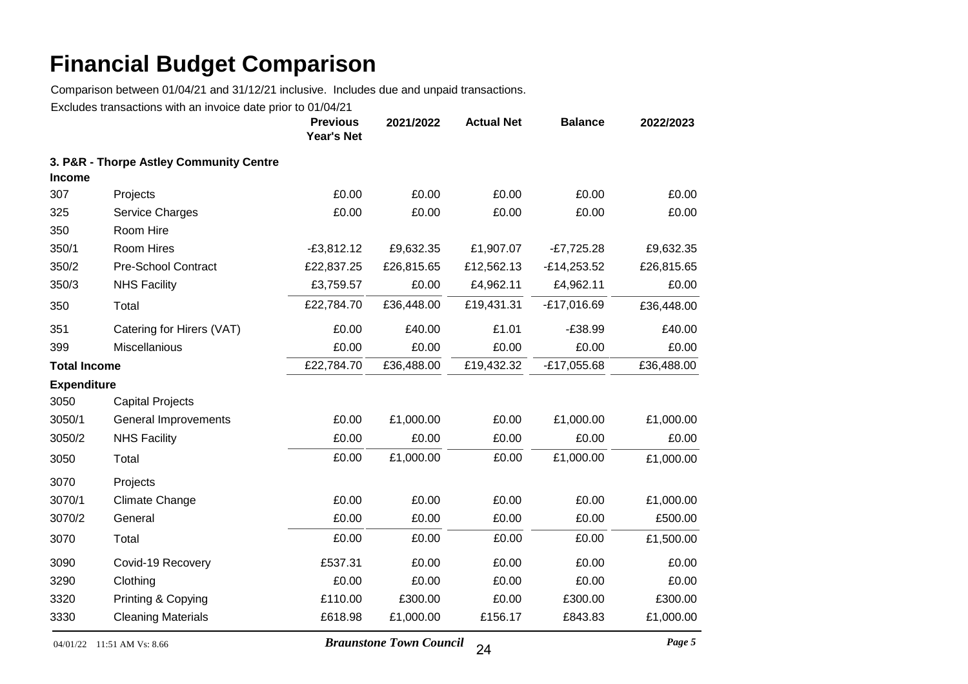Comparison between 01/04/21 and 31/12/21 inclusive. Includes due and unpaid transactions.

Excludes transactions with an invoice date prior to 01/04/21

|                     |                                         | <b>Previous</b><br><b>Year's Net</b> | 2021/2022  | <b>Actual Net</b> | <b>Balance</b> | 2022/2023  |
|---------------------|-----------------------------------------|--------------------------------------|------------|-------------------|----------------|------------|
| <b>Income</b>       | 3. P&R - Thorpe Astley Community Centre |                                      |            |                   |                |            |
| 307                 | Projects                                | £0.00                                | £0.00      | £0.00             | £0.00          | £0.00      |
| 325                 | Service Charges                         | £0.00                                | £0.00      | £0.00             | £0.00          | £0.00      |
| 350                 | Room Hire                               |                                      |            |                   |                |            |
| 350/1               | Room Hires                              | $-E3,812.12$                         | £9,632.35  | £1,907.07         | $-E7,725.28$   | £9,632.35  |
| 350/2               | <b>Pre-School Contract</b>              | £22,837.25                           | £26,815.65 | £12,562.13        | $-E14,253.52$  | £26,815.65 |
| 350/3               | <b>NHS Facility</b>                     | £3,759.57                            | £0.00      | £4,962.11         | £4,962.11      | £0.00      |
| 350                 | Total                                   | £22,784.70                           | £36,448.00 | £19,431.31        | $-£17,016.69$  | £36,448.00 |
| 351                 | Catering for Hirers (VAT)               | £0.00                                | £40.00     | £1.01             | $-£38.99$      | £40.00     |
| 399                 | Miscellanious                           | £0.00                                | £0.00      | £0.00             | £0.00          | £0.00      |
| <b>Total Income</b> |                                         | £22,784.70                           | £36,488.00 | £19,432.32        | $-£17,055.68$  | £36,488.00 |
| <b>Expenditure</b>  |                                         |                                      |            |                   |                |            |
| 3050                | <b>Capital Projects</b>                 |                                      |            |                   |                |            |
| 3050/1              | General Improvements                    | £0.00                                | £1,000.00  | £0.00             | £1,000.00      | £1,000.00  |
| 3050/2              | <b>NHS Facility</b>                     | £0.00                                | £0.00      | £0.00             | £0.00          | £0.00      |
| 3050                | Total                                   | £0.00                                | £1,000.00  | £0.00             | £1,000.00      | £1,000.00  |
| 3070                | Projects                                |                                      |            |                   |                |            |
| 3070/1              | <b>Climate Change</b>                   | £0.00                                | £0.00      | £0.00             | £0.00          | £1,000.00  |
| 3070/2              | General                                 | £0.00                                | £0.00      | £0.00             | £0.00          | £500.00    |
| 3070                | Total                                   | £0.00                                | £0.00      | £0.00             | £0.00          | £1,500.00  |
| 3090                | Covid-19 Recovery                       | £537.31                              | £0.00      | £0.00             | £0.00          | £0.00      |
| 3290                | Clothing                                | £0.00                                | £0.00      | £0.00             | £0.00          | £0.00      |
| 3320                | Printing & Copying                      | £110.00                              | £300.00    | £0.00             | £300.00        | £300.00    |
| 3330                | <b>Cleaning Materials</b>               | £618.98                              | £1,000.00  | £156.17           | £843.83        | £1,000.00  |

04/01/22 11:51 AM Vs: 8.66 *Braunstone Town Council Page 5* 24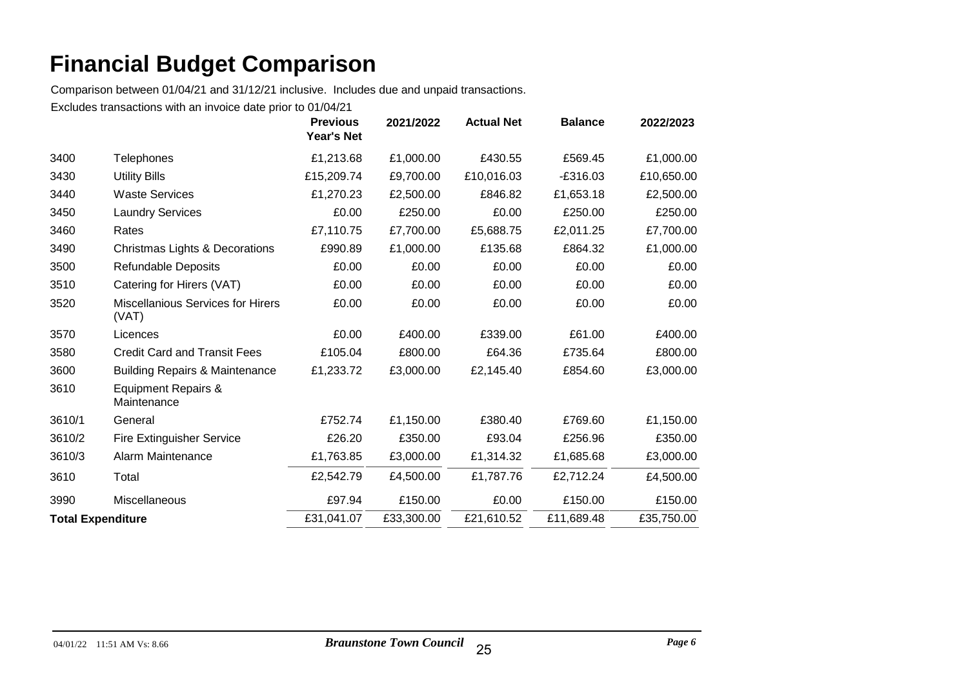Comparison between 01/04/21 and 31/12/21 inclusive. Includes due and unpaid transactions.

|                          |                                                   | <b>Previous</b><br><b>Year's Net</b> | 2021/2022  | <b>Actual Net</b> | <b>Balance</b> | 2022/2023  |
|--------------------------|---------------------------------------------------|--------------------------------------|------------|-------------------|----------------|------------|
| 3400                     | Telephones                                        | £1,213.68                            | £1,000.00  | £430.55           | £569.45        | £1,000.00  |
| 3430                     | <b>Utility Bills</b>                              | £15,209.74                           | £9,700.00  | £10,016.03        | $-£316.03$     | £10,650.00 |
| 3440                     | <b>Waste Services</b>                             | £1,270.23                            | £2,500.00  | £846.82           | £1,653.18      | £2,500.00  |
| 3450                     | <b>Laundry Services</b>                           | £0.00                                | £250.00    | £0.00             | £250.00        | £250.00    |
| 3460                     | Rates                                             | £7,110.75                            | £7,700.00  | £5,688.75         | £2,011.25      | £7,700.00  |
| 3490                     | Christmas Lights & Decorations                    | £990.89                              | £1,000.00  | £135.68           | £864.32        | £1,000.00  |
| 3500                     | Refundable Deposits                               | £0.00                                | £0.00      | £0.00             | £0.00          | £0.00      |
| 3510                     | Catering for Hirers (VAT)                         | £0.00                                | £0.00      | £0.00             | £0.00          | £0.00      |
| 3520                     | <b>Miscellanious Services for Hirers</b><br>(VAT) | £0.00                                | £0.00      | £0.00             | £0.00          | £0.00      |
| 3570                     | Licences                                          | £0.00                                | £400.00    | £339.00           | £61.00         | £400.00    |
| 3580                     | <b>Credit Card and Transit Fees</b>               | £105.04                              | £800.00    | £64.36            | £735.64        | £800.00    |
| 3600                     | <b>Building Repairs &amp; Maintenance</b>         | £1,233.72                            | £3,000.00  | £2,145.40         | £854.60        | £3,000.00  |
| 3610                     | <b>Equipment Repairs &amp;</b><br>Maintenance     |                                      |            |                   |                |            |
| 3610/1                   | General                                           | £752.74                              | £1,150.00  | £380.40           | £769.60        | £1,150.00  |
| 3610/2                   | <b>Fire Extinguisher Service</b>                  | £26.20                               | £350.00    | £93.04            | £256.96        | £350.00    |
| 3610/3                   | Alarm Maintenance                                 | £1,763.85                            | £3,000.00  | £1,314.32         | £1,685.68      | £3,000.00  |
| 3610                     | Total                                             | £2,542.79                            | £4,500.00  | £1,787.76         | £2,712.24      | £4,500.00  |
| 3990                     | Miscellaneous                                     | £97.94                               | £150.00    | £0.00             | £150.00        | £150.00    |
| <b>Total Expenditure</b> |                                                   | £31,041.07                           | £33,300.00 | £21,610.52        | £11,689.48     | £35,750.00 |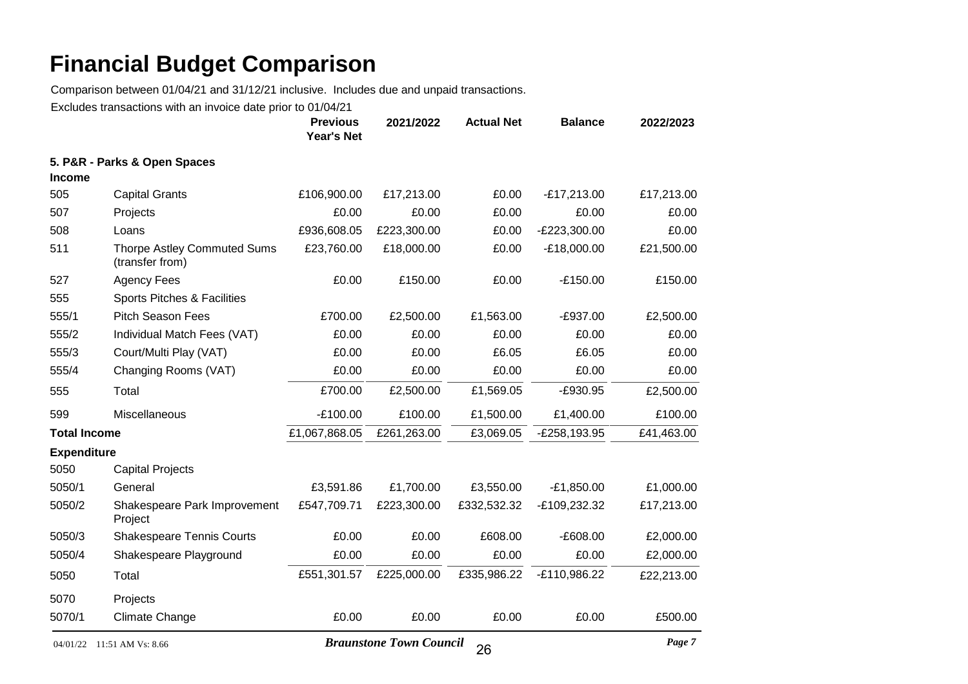Comparison between 01/04/21 and 31/12/21 inclusive. Includes due and unpaid transactions.

|                     |                                                       | <b>Previous</b><br><b>Year's Net</b> | 2021/2022                      | <b>Actual Net</b> | <b>Balance</b> | 2022/2023  |
|---------------------|-------------------------------------------------------|--------------------------------------|--------------------------------|-------------------|----------------|------------|
|                     | 5. P&R - Parks & Open Spaces                          |                                      |                                |                   |                |            |
| <b>Income</b>       |                                                       |                                      |                                |                   |                |            |
| 505                 | <b>Capital Grants</b>                                 | £106,900.00                          | £17,213.00                     | £0.00             | $-E17,213.00$  | £17,213.00 |
| 507                 | Projects                                              | £0.00                                | £0.00                          | £0.00             | £0.00          | £0.00      |
| 508                 | Loans                                                 | £936,608.05                          | £223,300.00                    | £0.00             | -£223,300.00   | £0.00      |
| 511                 | <b>Thorpe Astley Commuted Sums</b><br>(transfer from) | £23,760.00                           | £18,000.00                     | £0.00             | $-E18,000.00$  | £21,500.00 |
| 527                 | <b>Agency Fees</b>                                    | £0.00                                | £150.00                        | £0.00             | $-£150.00$     | £150.00    |
| 555                 | Sports Pitches & Facilities                           |                                      |                                |                   |                |            |
| 555/1               | <b>Pitch Season Fees</b>                              | £700.00                              | £2,500.00                      | £1,563.00         | $-E937.00$     | £2,500.00  |
| 555/2               | Individual Match Fees (VAT)                           | £0.00                                | £0.00                          | £0.00             | £0.00          | £0.00      |
| 555/3               | Court/Multi Play (VAT)                                | £0.00                                | £0.00                          | £6.05             | £6.05          | £0.00      |
| 555/4               | Changing Rooms (VAT)                                  | £0.00                                | £0.00                          | £0.00             | £0.00          | £0.00      |
| 555                 | Total                                                 | £700.00                              | £2,500.00                      | £1,569.05         | $-E930.95$     | £2,500.00  |
| 599                 | Miscellaneous                                         | $-£100.00$                           | £100.00                        | £1,500.00         | £1,400.00      | £100.00    |
| <b>Total Income</b> |                                                       | £1,067,868.05                        | £261,263.00                    | £3,069.05         | -£258,193.95   | £41,463.00 |
| <b>Expenditure</b>  |                                                       |                                      |                                |                   |                |            |
| 5050                | <b>Capital Projects</b>                               |                                      |                                |                   |                |            |
| 5050/1              | General                                               | £3,591.86                            | £1,700.00                      | £3,550.00         | $-E1,850.00$   | £1,000.00  |
| 5050/2              | Shakespeare Park Improvement<br>Project               | £547,709.71                          | £223,300.00                    | £332,532.32       | -£109,232.32   | £17,213.00 |
| 5050/3              | <b>Shakespeare Tennis Courts</b>                      | £0.00                                | £0.00                          | £608.00           | $-E608.00$     | £2,000.00  |
| 5050/4              | Shakespeare Playground                                | £0.00                                | £0.00                          | £0.00             | £0.00          | £2,000.00  |
| 5050                | Total                                                 | £551,301.57                          | £225,000.00                    | £335,986.22       | -£110,986.22   | £22,213.00 |
| 5070                | Projects                                              |                                      |                                |                   |                |            |
| 5070/1              | <b>Climate Change</b>                                 | £0.00                                | £0.00                          | £0.00             | £0.00          | £500.00    |
| 04/01/22            | 11:51 AM Vs: 8.66                                     |                                      | <b>Braunstone Town Council</b> | $\Omega$          |                | Page 7     |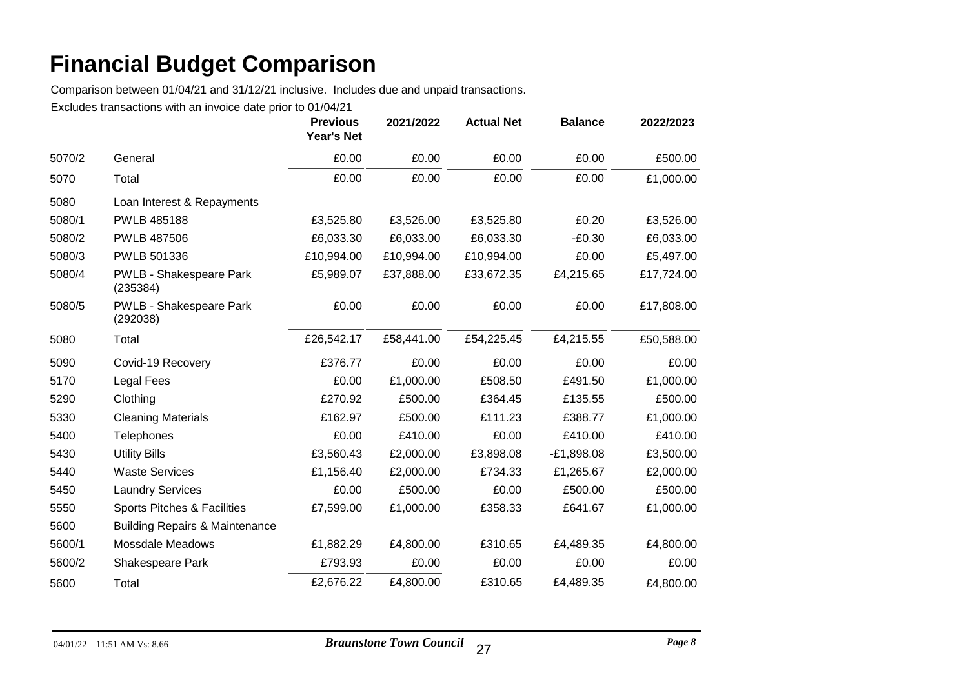Comparison between 01/04/21 and 31/12/21 inclusive. Includes due and unpaid transactions.

|        |                                            | <b>Previous</b><br><b>Year's Net</b> | 2021/2022  | <b>Actual Net</b> | <b>Balance</b> | 2022/2023  |
|--------|--------------------------------------------|--------------------------------------|------------|-------------------|----------------|------------|
| 5070/2 | General                                    | £0.00                                | £0.00      | £0.00             | £0.00          | £500.00    |
| 5070   | Total                                      | £0.00                                | £0.00      | £0.00             | £0.00          | £1,000.00  |
| 5080   | Loan Interest & Repayments                 |                                      |            |                   |                |            |
| 5080/1 | PWLB 485188                                | £3,525.80                            | £3,526.00  | £3,525.80         | £0.20          | £3,526.00  |
| 5080/2 | <b>PWLB 487506</b>                         | £6,033.30                            | £6,033.00  | £6,033.30         | $-E0.30$       | £6,033.00  |
| 5080/3 | PWLB 501336                                | £10,994.00                           | £10,994.00 | £10,994.00        | £0.00          | £5,497.00  |
| 5080/4 | <b>PWLB - Shakespeare Park</b><br>(235384) | £5,989.07                            | £37,888.00 | £33,672.35        | £4,215.65      | £17,724.00 |
| 5080/5 | PWLB - Shakespeare Park<br>(292038)        | £0.00                                | £0.00      | £0.00             | £0.00          | £17,808.00 |
| 5080   | Total                                      | £26,542.17                           | £58,441.00 | £54,225.45        | £4,215.55      | £50,588.00 |
| 5090   | Covid-19 Recovery                          | £376.77                              | £0.00      | £0.00             | £0.00          | £0.00      |
| 5170   | <b>Legal Fees</b>                          | £0.00                                | £1,000.00  | £508.50           | £491.50        | £1,000.00  |
| 5290   | Clothing                                   | £270.92                              | £500.00    | £364.45           | £135.55        | £500.00    |
| 5330   | <b>Cleaning Materials</b>                  | £162.97                              | £500.00    | £111.23           | £388.77        | £1,000.00  |
| 5400   | Telephones                                 | £0.00                                | £410.00    | £0.00             | £410.00        | £410.00    |
| 5430   | <b>Utility Bills</b>                       | £3,560.43                            | £2,000.00  | £3,898.08         | $-E1,898.08$   | £3,500.00  |
| 5440   | <b>Waste Services</b>                      | £1,156.40                            | £2,000.00  | £734.33           | £1,265.67      | £2,000.00  |
| 5450   | <b>Laundry Services</b>                    | £0.00                                | £500.00    | £0.00             | £500.00        | £500.00    |
| 5550   | Sports Pitches & Facilities                | £7,599.00                            | £1,000.00  | £358.33           | £641.67        | £1,000.00  |
| 5600   | <b>Building Repairs &amp; Maintenance</b>  |                                      |            |                   |                |            |
| 5600/1 | <b>Mossdale Meadows</b>                    | £1,882.29                            | £4,800.00  | £310.65           | £4,489.35      | £4,800.00  |
| 5600/2 | Shakespeare Park                           | £793.93                              | £0.00      | £0.00             | £0.00          | £0.00      |
| 5600   | Total                                      | £2,676.22                            | £4,800.00  | £310.65           | £4,489.35      | £4,800.00  |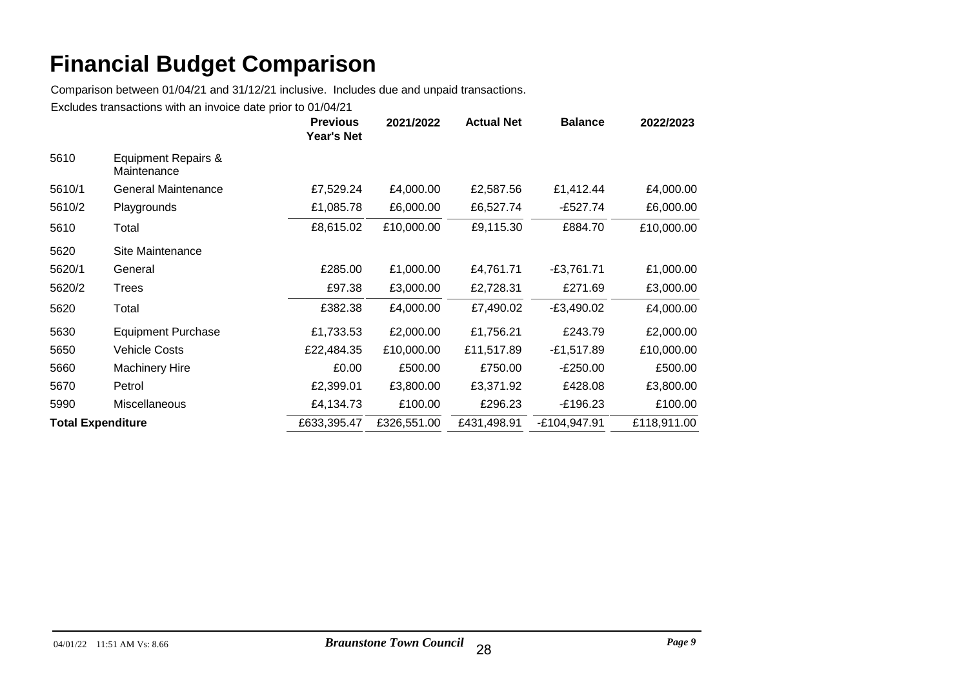Comparison between 01/04/21 and 31/12/21 inclusive. Includes due and unpaid transactions.

|                          |                                    | <b>Previous</b><br><b>Year's Net</b> | 2021/2022   | <b>Actual Net</b> | <b>Balance</b> | 2022/2023   |
|--------------------------|------------------------------------|--------------------------------------|-------------|-------------------|----------------|-------------|
| 5610                     | Equipment Repairs &<br>Maintenance |                                      |             |                   |                |             |
| 5610/1                   | <b>General Maintenance</b>         | £7,529.24                            | £4,000.00   | £2,587.56         | £1,412.44      | £4,000.00   |
| 5610/2                   | Playgrounds                        | £1,085.78                            | £6,000.00   | £6,527.74         | -£527.74       | £6,000.00   |
| 5610                     | Total                              | £8,615.02                            | £10,000.00  | £9,115.30         | £884.70        | £10,000.00  |
| 5620                     | Site Maintenance                   |                                      |             |                   |                |             |
| 5620/1                   | General                            | £285.00                              | £1,000.00   | £4,761.71         | $-E3,761.71$   | £1,000.00   |
| 5620/2                   | Trees                              | £97.38                               | £3,000.00   | £2,728.31         | £271.69        | £3,000.00   |
| 5620                     | Total                              | £382.38                              | £4,000.00   | £7,490.02         | $-E3,490.02$   | £4,000.00   |
| 5630                     | <b>Equipment Purchase</b>          | £1,733.53                            | £2,000.00   | £1,756.21         | £243.79        | £2,000.00   |
| 5650                     | <b>Vehicle Costs</b>               | £22,484.35                           | £10,000.00  | £11,517.89        | $-E1,517.89$   | £10,000.00  |
| 5660                     | <b>Machinery Hire</b>              | £0.00                                | £500.00     | £750.00           | $-E250.00$     | £500.00     |
| 5670                     | Petrol                             | £2,399.01                            | £3,800.00   | £3,371.92         | £428.08        | £3,800.00   |
| 5990                     | Miscellaneous                      | £4,134.73                            | £100.00     | £296.23           | $-£196.23$     | £100.00     |
| <b>Total Expenditure</b> |                                    | £633,395.47                          | £326,551.00 | £431,498.91       | -£104,947.91   | £118,911.00 |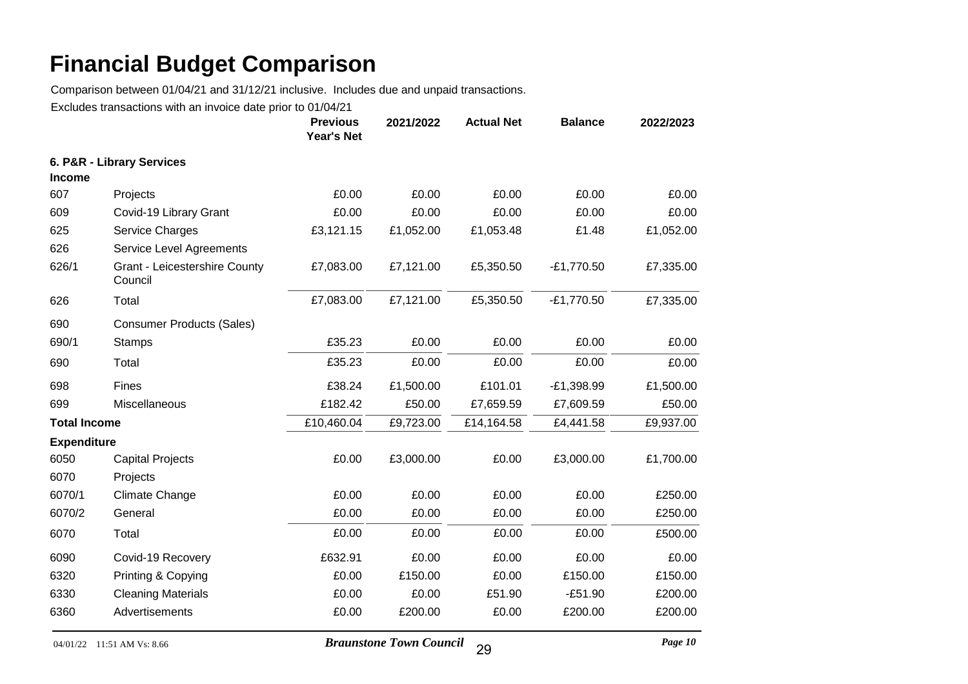Comparison between 01/04/21 and 31/12/21 inclusive. Includes due and unpaid transactions.

|                     |                                          | <b>Previous</b><br><b>Year's Net</b> | 2021/2022 | <b>Actual Net</b> | <b>Balance</b> | 2022/2023 |
|---------------------|------------------------------------------|--------------------------------------|-----------|-------------------|----------------|-----------|
|                     | 6. P&R - Library Services                |                                      |           |                   |                |           |
| <b>Income</b>       |                                          |                                      |           |                   |                |           |
| 607                 | Projects                                 | £0.00                                | £0.00     | £0.00             | £0.00          | £0.00     |
| 609                 | Covid-19 Library Grant                   | £0.00                                | £0.00     | £0.00             | £0.00          | £0.00     |
| 625                 | <b>Service Charges</b>                   | £3,121.15                            | £1,052.00 | £1,053.48         | £1.48          | £1,052.00 |
| 626                 | Service Level Agreements                 |                                      |           |                   |                |           |
| 626/1               | Grant - Leicestershire County<br>Council | £7,083.00                            | £7,121.00 | £5,350.50         | $-E1,770.50$   | £7,335.00 |
| 626                 | Total                                    | £7,083.00                            | £7,121.00 | £5,350.50         | $-E1,770.50$   | £7,335.00 |
| 690                 | <b>Consumer Products (Sales)</b>         |                                      |           |                   |                |           |
| 690/1               | <b>Stamps</b>                            | £35.23                               | £0.00     | £0.00             | £0.00          | £0.00     |
| 690                 | Total                                    | £35.23                               | £0.00     | £0.00             | £0.00          | £0.00     |
| 698                 | Fines                                    | £38.24                               | £1,500.00 | £101.01           | $-E1,398.99$   | £1,500.00 |
| 699                 | Miscellaneous                            | £182.42                              | £50.00    | £7,659.59         | £7,609.59      | £50.00    |
| <b>Total Income</b> |                                          | £10,460.04                           | £9,723.00 | £14,164.58        | £4,441.58      | £9,937.00 |
| <b>Expenditure</b>  |                                          |                                      |           |                   |                |           |
| 6050                | <b>Capital Projects</b>                  | £0.00                                | £3,000.00 | £0.00             | £3,000.00      | £1,700.00 |
| 6070                | Projects                                 |                                      |           |                   |                |           |
| 6070/1              | <b>Climate Change</b>                    | £0.00                                | £0.00     | £0.00             | £0.00          | £250.00   |
| 6070/2              | General                                  | £0.00                                | £0.00     | £0.00             | £0.00          | £250.00   |
| 6070                | Total                                    | £0.00                                | £0.00     | £0.00             | £0.00          | £500.00   |
| 6090                | Covid-19 Recovery                        | £632.91                              | £0.00     | £0.00             | £0.00          | £0.00     |
| 6320                | Printing & Copying                       | £0.00                                | £150.00   | £0.00             | £150.00        | £150.00   |
| 6330                | <b>Cleaning Materials</b>                | £0.00                                | £0.00     | £51.90            | $-£51.90$      | £200.00   |
| 6360                | Advertisements                           | £0.00                                | £200.00   | £0.00             | £200.00        | £200.00   |
|                     |                                          |                                      |           |                   |                |           |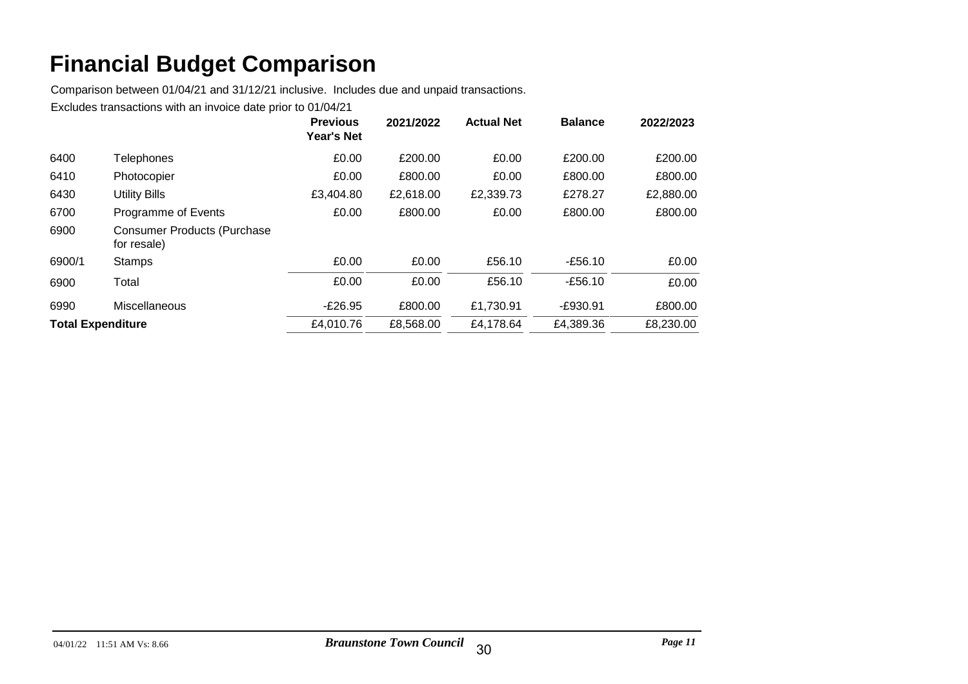Comparison between 01/04/21 and 31/12/21 inclusive. Includes due and unpaid transactions.

|                          |                                                   | <b>Previous</b><br><b>Year's Net</b> | 2021/2022 | <b>Actual Net</b> | <b>Balance</b> | 2022/2023 |
|--------------------------|---------------------------------------------------|--------------------------------------|-----------|-------------------|----------------|-----------|
| 6400                     | Telephones                                        | £0.00                                | £200.00   | £0.00             | £200.00        | £200.00   |
| 6410                     | Photocopier                                       | £0.00                                | £800.00   | £0.00             | £800.00        | £800.00   |
| 6430                     | Utility Bills                                     | £3,404.80                            | £2,618.00 | £2,339.73         | £278.27        | £2,880.00 |
| 6700                     | Programme of Events                               | £0.00                                | £800.00   | £0.00             | £800.00        | £800.00   |
| 6900                     | <b>Consumer Products (Purchase</b><br>for resale) |                                      |           |                   |                |           |
| 6900/1                   | <b>Stamps</b>                                     | £0.00                                | £0.00     | £56.10            | $-£56.10$      | £0.00     |
| 6900                     | Total                                             | £0.00                                | £0.00     | £56.10            | $-£56.10$      | £0.00     |
| 6990                     | Miscellaneous                                     | $-E26.95$                            | £800.00   | £1,730.91         | $-£930.91$     | £800.00   |
| <b>Total Expenditure</b> |                                                   | £4,010.76                            | £8,568.00 | £4,178.64         | £4,389.36      | £8,230.00 |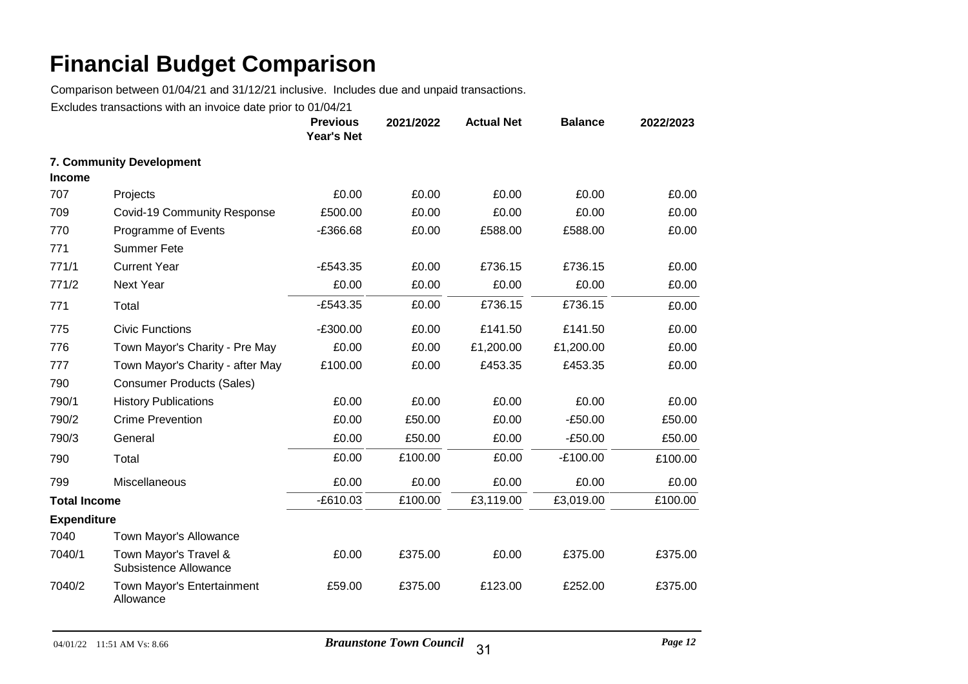Comparison between 01/04/21 and 31/12/21 inclusive. Includes due and unpaid transactions.

|                     |                                                | <b>Previous</b><br>Year's Net | 2021/2022 | <b>Actual Net</b> | <b>Balance</b> | 2022/2023 |
|---------------------|------------------------------------------------|-------------------------------|-----------|-------------------|----------------|-----------|
| <b>Income</b>       | 7. Community Development                       |                               |           |                   |                |           |
| 707                 | Projects                                       | £0.00                         | £0.00     | £0.00             | £0.00          | £0.00     |
| 709                 | <b>Covid-19 Community Response</b>             | £500.00                       | £0.00     | £0.00             | £0.00          | £0.00     |
| 770                 | Programme of Events                            | $-£366.68$                    | £0.00     | £588.00           | £588.00        | £0.00     |
| 771                 | <b>Summer Fete</b>                             |                               |           |                   |                |           |
| 771/1               | <b>Current Year</b>                            | $-E543.35$                    | £0.00     | £736.15           | £736.15        | £0.00     |
| 771/2               | <b>Next Year</b>                               | £0.00                         | £0.00     | £0.00             | £0.00          | £0.00     |
| 771                 | Total                                          | $-E543.35$                    | £0.00     | £736.15           | £736.15        | £0.00     |
| 775                 | <b>Civic Functions</b>                         | $-E300.00$                    | £0.00     | £141.50           | £141.50        | £0.00     |
| 776                 | Town Mayor's Charity - Pre May                 | £0.00                         | £0.00     | £1,200.00         | £1,200.00      | £0.00     |
| 777                 | Town Mayor's Charity - after May               | £100.00                       | £0.00     | £453.35           | £453.35        | £0.00     |
| 790                 | <b>Consumer Products (Sales)</b>               |                               |           |                   |                |           |
| 790/1               | <b>History Publications</b>                    | £0.00                         | £0.00     | £0.00             | £0.00          | £0.00     |
| 790/2               | <b>Crime Prevention</b>                        | £0.00                         | £50.00    | £0.00             | $-£50.00$      | £50.00    |
| 790/3               | General                                        | £0.00                         | £50.00    | £0.00             | $-£50.00$      | £50.00    |
| 790                 | Total                                          | £0.00                         | £100.00   | £0.00             | $-E100.00$     | £100.00   |
| 799                 | Miscellaneous                                  | £0.00                         | £0.00     | £0.00             | £0.00          | £0.00     |
| <b>Total Income</b> |                                                | $-E610.03$                    | £100.00   | £3,119.00         | £3,019.00      | £100.00   |
| <b>Expenditure</b>  |                                                |                               |           |                   |                |           |
| 7040                | Town Mayor's Allowance                         |                               |           |                   |                |           |
| 7040/1              | Town Mayor's Travel &<br>Subsistence Allowance | £0.00                         | £375.00   | £0.00             | £375.00        | £375.00   |
| 7040/2              | Town Mayor's Entertainment<br>Allowance        | £59.00                        | £375.00   | £123.00           | £252.00        | £375.00   |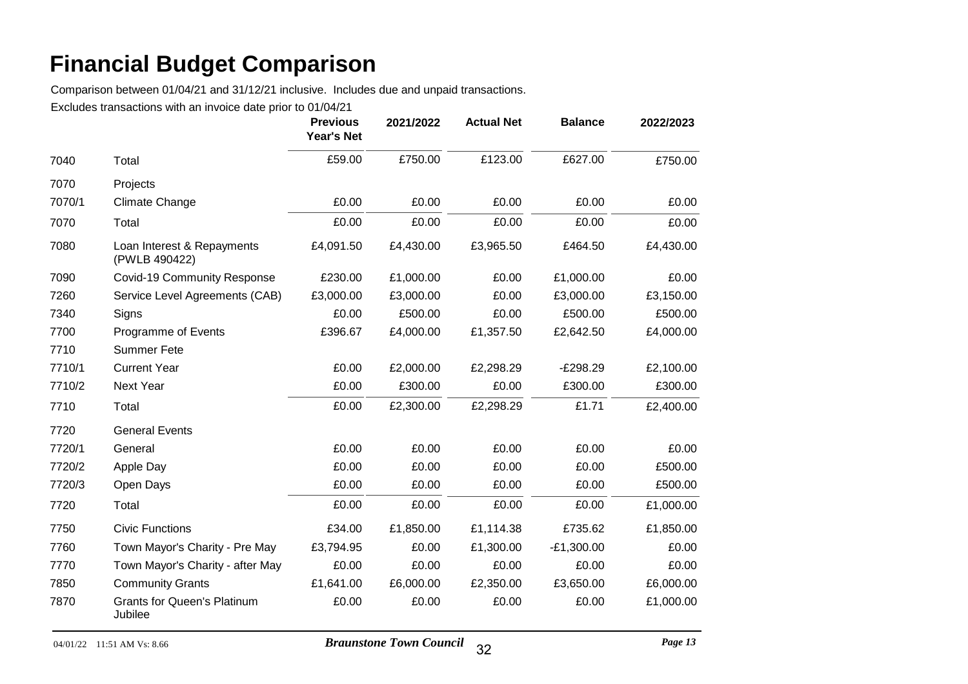Comparison between 01/04/21 and 31/12/21 inclusive. Includes due and unpaid transactions.

|        |                                               | <b>Previous</b><br><b>Year's Net</b> | 2021/2022 | <b>Actual Net</b> | <b>Balance</b> | 2022/2023 |
|--------|-----------------------------------------------|--------------------------------------|-----------|-------------------|----------------|-----------|
| 7040   | Total                                         | £59.00                               | £750.00   | £123.00           | £627.00        | £750.00   |
| 7070   | Projects                                      |                                      |           |                   |                |           |
| 7070/1 | Climate Change                                | £0.00                                | £0.00     | £0.00             | £0.00          | £0.00     |
| 7070   | Total                                         | £0.00                                | £0.00     | £0.00             | £0.00          | £0.00     |
| 7080   | Loan Interest & Repayments<br>(PWLB 490422)   | £4,091.50                            | £4,430.00 | £3,965.50         | £464.50        | £4,430.00 |
| 7090   | Covid-19 Community Response                   | £230.00                              | £1,000.00 | £0.00             | £1,000.00      | £0.00     |
| 7260   | Service Level Agreements (CAB)                | £3,000.00                            | £3,000.00 | £0.00             | £3,000.00      | £3,150.00 |
| 7340   | Signs                                         | £0.00                                | £500.00   | £0.00             | £500.00        | £500.00   |
| 7700   | Programme of Events                           | £396.67                              | £4,000.00 | £1,357.50         | £2,642.50      | £4,000.00 |
| 7710   | <b>Summer Fete</b>                            |                                      |           |                   |                |           |
| 7710/1 | <b>Current Year</b>                           | £0.00                                | £2,000.00 | £2,298.29         | $-E298.29$     | £2,100.00 |
| 7710/2 | <b>Next Year</b>                              | £0.00                                | £300.00   | £0.00             | £300.00        | £300.00   |
| 7710   | Total                                         | £0.00                                | £2,300.00 | £2,298.29         | £1.71          | £2,400.00 |
| 7720   | <b>General Events</b>                         |                                      |           |                   |                |           |
| 7720/1 | General                                       | £0.00                                | £0.00     | £0.00             | £0.00          | £0.00     |
| 7720/2 | Apple Day                                     | £0.00                                | £0.00     | £0.00             | £0.00          | £500.00   |
| 7720/3 | Open Days                                     | £0.00                                | £0.00     | £0.00             | £0.00          | £500.00   |
| 7720   | Total                                         | £0.00                                | £0.00     | £0.00             | £0.00          | £1,000.00 |
| 7750   | <b>Civic Functions</b>                        | £34.00                               | £1,850.00 | £1,114.38         | £735.62        | £1,850.00 |
| 7760   | Town Mayor's Charity - Pre May                | £3,794.95                            | £0.00     | £1,300.00         | $-E1,300.00$   | £0.00     |
| 7770   | Town Mayor's Charity - after May              | £0.00                                | £0.00     | £0.00             | £0.00          | £0.00     |
| 7850   | <b>Community Grants</b>                       | £1,641.00                            | £6,000.00 | £2,350.00         | £3,650.00      | £6,000.00 |
| 7870   | <b>Grants for Queen's Platinum</b><br>Jubilee | £0.00                                | £0.00     | £0.00             | £0.00          | £1,000.00 |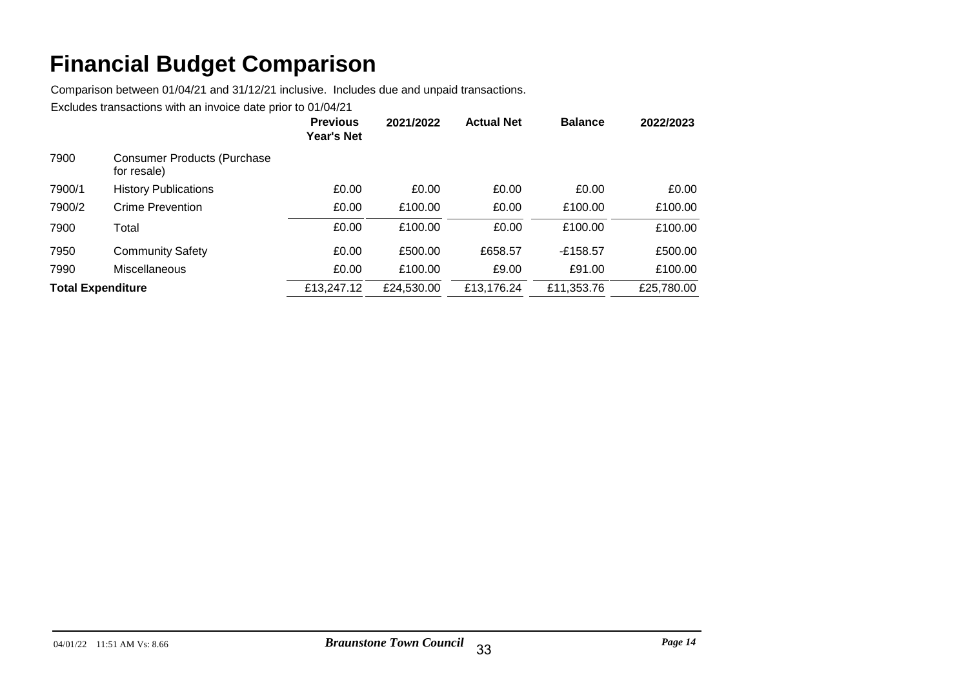Comparison between 01/04/21 and 31/12/21 inclusive. Includes due and unpaid transactions.

|                          |                                                   | <b>Previous</b><br><b>Year's Net</b> | 2021/2022  | <b>Actual Net</b> | <b>Balance</b> | 2022/2023  |
|--------------------------|---------------------------------------------------|--------------------------------------|------------|-------------------|----------------|------------|
| 7900                     | <b>Consumer Products (Purchase</b><br>for resale) |                                      |            |                   |                |            |
| 7900/1                   | <b>History Publications</b>                       | £0.00                                | £0.00      | £0.00             | £0.00          | £0.00      |
| 7900/2                   | Crime Prevention                                  | £0.00                                | £100.00    | £0.00             | £100.00        | £100.00    |
| 7900                     | Total                                             | £0.00                                | £100.00    | £0.00             | £100.00        | £100.00    |
| 7950                     | <b>Community Safety</b>                           | £0.00                                | £500.00    | £658.57           | $-£158.57$     | £500.00    |
| 7990                     | Miscellaneous                                     | £0.00                                | £100.00    | £9.00             | £91.00         | £100.00    |
| <b>Total Expenditure</b> |                                                   | £13,247.12                           | £24,530.00 | £13,176.24        | £11,353.76     | £25,780.00 |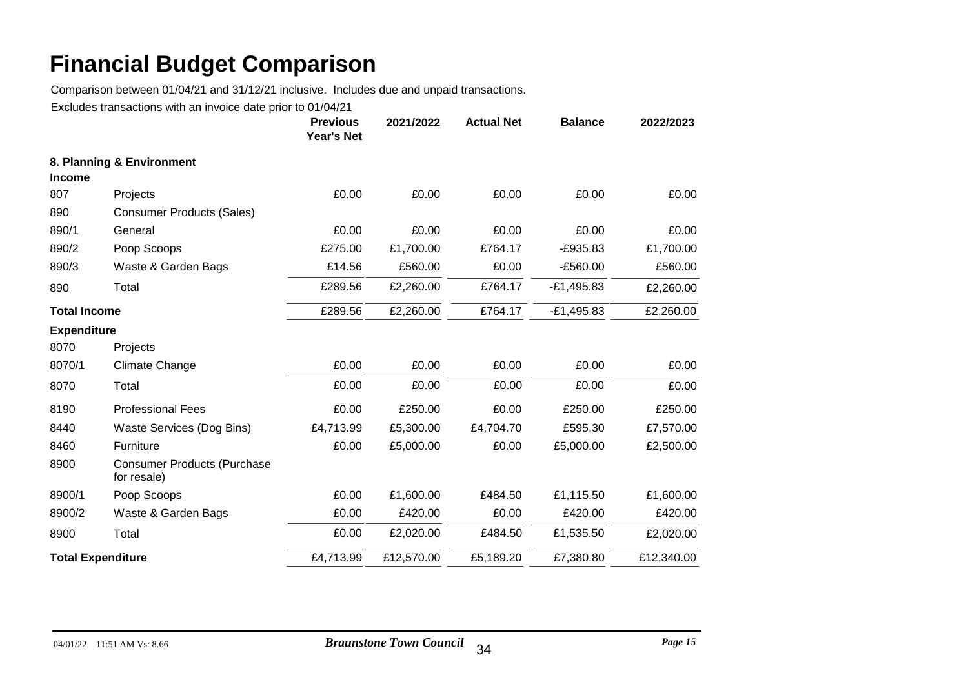Comparison between 01/04/21 and 31/12/21 inclusive. Includes due and unpaid transactions.

|                          |                                                   | <b>Previous</b><br>Year's Net | 2021/2022  | <b>Actual Net</b> | <b>Balance</b> | 2022/2023  |
|--------------------------|---------------------------------------------------|-------------------------------|------------|-------------------|----------------|------------|
| <b>Income</b>            | 8. Planning & Environment                         |                               |            |                   |                |            |
| 807                      | Projects                                          | £0.00                         | £0.00      | £0.00             | £0.00          | £0.00      |
| 890                      | <b>Consumer Products (Sales)</b>                  |                               |            |                   |                |            |
| 890/1                    | General                                           | £0.00                         | £0.00      | £0.00             | £0.00          | £0.00      |
| 890/2                    | Poop Scoops                                       | £275.00                       | £1,700.00  | £764.17           | $-E935.83$     | £1,700.00  |
| 890/3                    | Waste & Garden Bags                               | £14.56                        | £560.00    | £0.00             | $-E560.00$     | £560.00    |
| 890                      | Total                                             | £289.56                       | £2,260.00  | £764.17           | $-E1,495.83$   | £2,260.00  |
| <b>Total Income</b>      |                                                   | £289.56                       | £2,260.00  | £764.17           | $-E1,495.83$   | £2,260.00  |
| <b>Expenditure</b>       |                                                   |                               |            |                   |                |            |
| 8070                     | Projects                                          |                               |            |                   |                |            |
| 8070/1                   | Climate Change                                    | £0.00                         | £0.00      | £0.00             | £0.00          | £0.00      |
| 8070                     | Total                                             | £0.00                         | £0.00      | £0.00             | £0.00          | £0.00      |
| 8190                     | <b>Professional Fees</b>                          | £0.00                         | £250.00    | £0.00             | £250.00        | £250.00    |
| 8440                     | Waste Services (Dog Bins)                         | £4,713.99                     | £5,300.00  | £4,704.70         | £595.30        | £7,570.00  |
| 8460                     | Furniture                                         | £0.00                         | £5,000.00  | £0.00             | £5,000.00      | £2,500.00  |
| 8900                     | <b>Consumer Products (Purchase</b><br>for resale) |                               |            |                   |                |            |
| 8900/1                   | Poop Scoops                                       | £0.00                         | £1,600.00  | £484.50           | £1,115.50      | £1,600.00  |
| 8900/2                   | Waste & Garden Bags                               | £0.00                         | £420.00    | £0.00             | £420.00        | £420.00    |
| 8900                     | Total                                             | £0.00                         | £2,020.00  | £484.50           | £1,535.50      | £2,020.00  |
| <b>Total Expenditure</b> |                                                   | £4,713.99                     | £12,570.00 | £5,189.20         | £7,380.80      | £12,340.00 |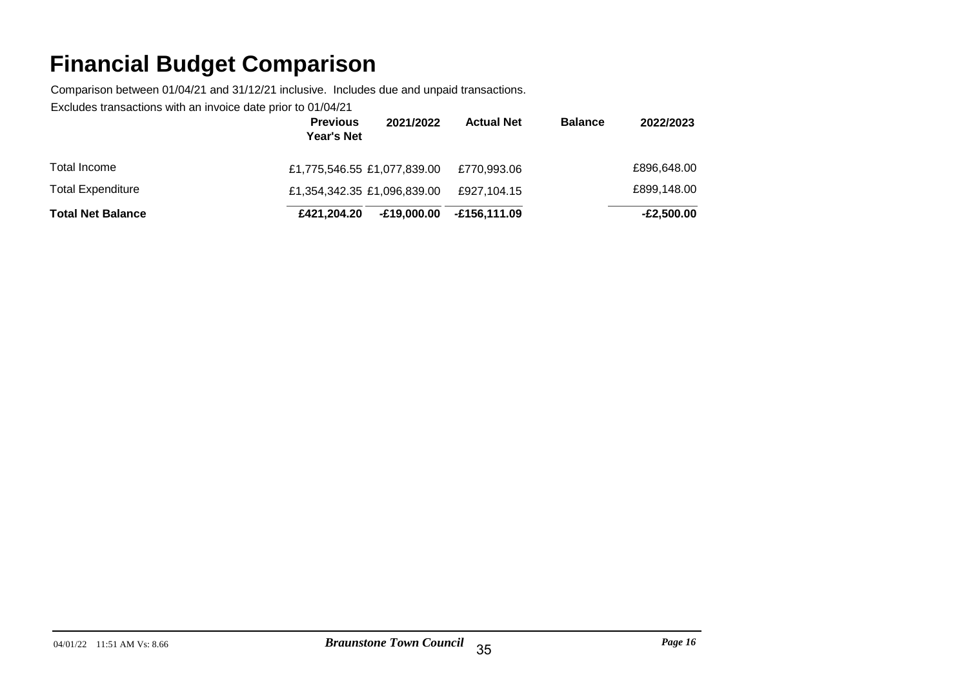Comparison between 01/04/21 and 31/12/21 inclusive. Includes due and unpaid transactions.

|                          | <b>Previous</b><br>2021/2022<br><b>Year's Net</b> | <b>Actual Net</b> | <b>Balance</b> | 2022/2023    |
|--------------------------|---------------------------------------------------|-------------------|----------------|--------------|
| Total Income             | £1,775,546.55 £1,077,839.00                       | £770,993.06       |                | £896,648.00  |
| <b>Total Expenditure</b> | £1,354,342.35 £1,096,839.00                       | £927.104.15       |                | £899,148.00  |
| <b>Total Net Balance</b> | E19,000.00<br>£421,204,20                         | -£156.111.09      |                | $-E2,500.00$ |